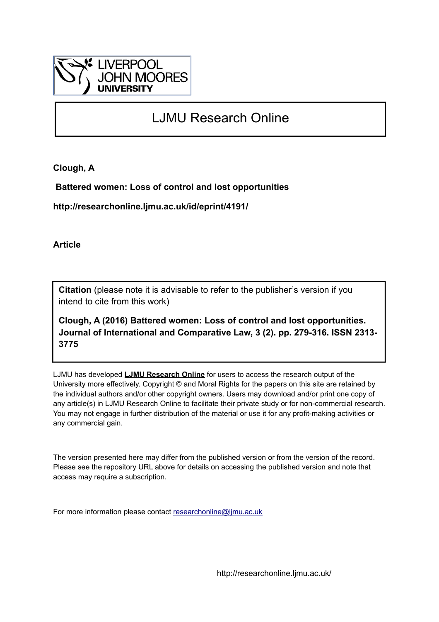

# LJMU Research Online

**Clough, A**

 **Battered women: Loss of control and lost opportunities**

**http://researchonline.ljmu.ac.uk/id/eprint/4191/**

**Article**

**Citation** (please note it is advisable to refer to the publisher's version if you intend to cite from this work)

**Clough, A (2016) Battered women: Loss of control and lost opportunities. Journal of International and Comparative Law, 3 (2). pp. 279-316. ISSN 2313- 3775** 

LJMU has developed **[LJMU Research Online](http://researchonline.ljmu.ac.uk/)** for users to access the research output of the University more effectively. Copyright © and Moral Rights for the papers on this site are retained by the individual authors and/or other copyright owners. Users may download and/or print one copy of any article(s) in LJMU Research Online to facilitate their private study or for non-commercial research. You may not engage in further distribution of the material or use it for any profit-making activities or any commercial gain.

The version presented here may differ from the published version or from the version of the record. Please see the repository URL above for details on accessing the published version and note that access may require a subscription.

For more information please contact [researchonline@ljmu.ac.uk](mailto:researchonline@ljmu.ac.uk)

http://researchonline.ljmu.ac.uk/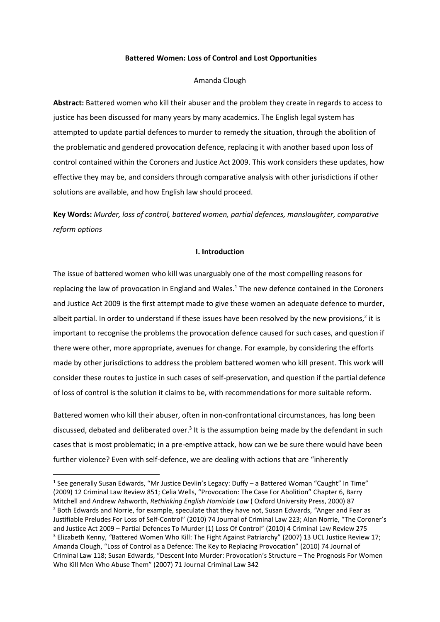#### **Battered Women: Loss of Control and Lost Opportunities**

#### Amanda Clough

**Abstract:** Battered women who kill their abuser and the problem they create in regards to access to justice has been discussed for many years by many academics. The English legal system has attempted to update partial defences to murder to remedy the situation, through the abolition of the problematic and gendered provocation defence, replacing it with another based upon loss of control contained within the Coroners and Justice Act 2009. This work considers these updates, how effective they may be, and considers through comparative analysis with other jurisdictions if other solutions are available, and how English law should proceed.

**Key Words:** *Murder, loss of control, battered women, partial defences, manslaughter, comparative reform options*

#### **I. Introduction**

The issue of battered women who kill was unarguably one of the most compelling reasons for replacing the law of provocation in England and Wales.<sup>1</sup> The new defence contained in the Coroners and Justice Act 2009 is the first attempt made to give these women an adequate defence to murder, albeit partial. In order to understand if these issues have been resolved by the new provisions,<sup>2</sup> it is important to recognise the problems the provocation defence caused for such cases, and question if there were other, more appropriate, avenues for change. For example, by considering the efforts made by other jurisdictions to address the problem battered women who kill present. This work will consider these routes to justice in such cases of self-preservation, and question if the partial defence of loss of control is the solution it claims to be, with recommendations for more suitable reform.

Battered women who kill their abuser, often in non-confrontational circumstances, has long been discussed, debated and deliberated over.<sup>3</sup> It is the assumption being made by the defendant in such cases that is most problematic; in a pre-emptive attack, how can we be sure there would have been further violence? Even with self-defence, we are dealing with actions that are "inherently

<sup>&</sup>lt;sup>1</sup> See generally Susan Edwards, "Mr Justice Devlin's Legacy: Duffy - a Battered Woman "Caught" In Time" (2009) 12 Criminal Law Review 851; Celia Wells, "Provocation: The Case For Abolition" Chapter 6, Barry Mitchell and Andrew Ashworth, *Rethinking English Homicide Law* ( Oxford University Press, 2000) 87 <sup>2</sup> Both Edwards and Norrie, for example, speculate that they have not, Susan Edwards, *"*Anger and Fear as Justifiable Preludes For Loss of Self-Control" (2010) 74 Journal of Criminal Law 223; Alan Norrie, "The Coroner's and Justice Act 2009 – Partial Defences To Murder (1) Loss Of Control" (2010) 4 Criminal Law Review 275 <sup>3</sup> Elizabeth Kenny, *"*Battered Women Who Kill: The Fight Against Patriarchy" (2007) 13 UCL Justice Review 17; Amanda Clough, "Loss of Control as a Defence: The Key to Replacing Provocation" (2010) 74 Journal of Criminal Law 118; Susan Edwards, "Descent Into Murder: Provocation's Structure – The Prognosis For Women Who Kill Men Who Abuse Them" (2007) 71 Journal Criminal Law 342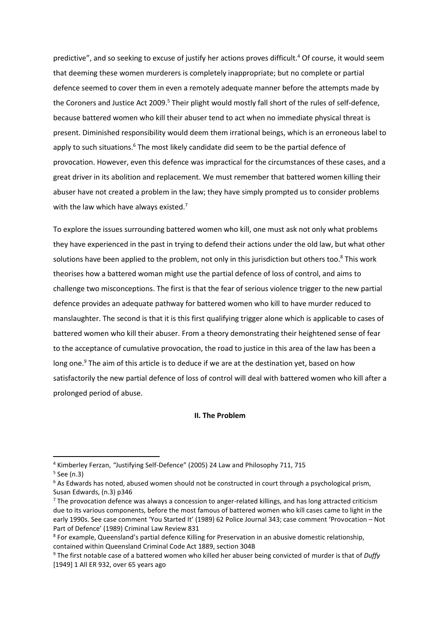predictive", and so seeking to excuse of justify her actions proves difficult.<sup>4</sup> Of course, it would seem that deeming these women murderers is completely inappropriate; but no complete or partial defence seemed to cover them in even a remotely adequate manner before the attempts made by the Coroners and Justice Act 2009.<sup>5</sup> Their plight would mostly fall short of the rules of self-defence, because battered women who kill their abuser tend to act when no immediate physical threat is present. Diminished responsibility would deem them irrational beings, which is an erroneous label to apply to such situations.<sup>6</sup> The most likely candidate did seem to be the partial defence of provocation. However, even this defence was impractical for the circumstances of these cases, and a great driver in its abolition and replacement. We must remember that battered women killing their abuser have not created a problem in the law; they have simply prompted us to consider problems with the law which have always existed. $7$ 

To explore the issues surrounding battered women who kill, one must ask not only what problems they have experienced in the past in trying to defend their actions under the old law, but what other solutions have been applied to the problem, not only in this jurisdiction but others too.<sup>8</sup> This work theorises how a battered woman might use the partial defence of loss of control, and aims to challenge two misconceptions. The first is that the fear of serious violence trigger to the new partial defence provides an adequate pathway for battered women who kill to have murder reduced to manslaughter. The second is that it is this first qualifying trigger alone which is applicable to cases of battered women who kill their abuser. From a theory demonstrating their heightened sense of fear to the acceptance of cumulative provocation, the road to justice in this area of the law has been a long one.<sup>9</sup> The aim of this article is to deduce if we are at the destination yet, based on how satisfactorily the new partial defence of loss of control will deal with battered women who kill after a prolonged period of abuse.

#### **II. The Problem**

<sup>4</sup> Kimberley Ferzan, *"*Justifying Self-Defence" (2005) 24 Law and Philosophy 711, 715

<sup>5</sup> See (n.3)

 $6$  As Edwards has noted, abused women should not be constructed in court through a psychological prism, Susan Edwards, (n.3) p346

<sup>&</sup>lt;sup>7</sup> The provocation defence was always a concession to anger-related killings, and has long attracted criticism due to its various components, before the most famous of battered women who kill cases came to light in the early 1990s. See case comment 'You Started It' (1989) 62 Police Journal 343; case comment 'Provocation – Not Part of Defence' (1989) Criminal Law Review 831

<sup>&</sup>lt;sup>8</sup> For example, Queensland's partial defence Killing for Preservation in an abusive domestic relationship, contained within Queensland Criminal Code Act 1889, section 304B

<sup>9</sup> The first notable case of a battered women who killed her abuser being convicted of murder is that of *Duffy* [1949] 1 All ER 932, over 65 years ago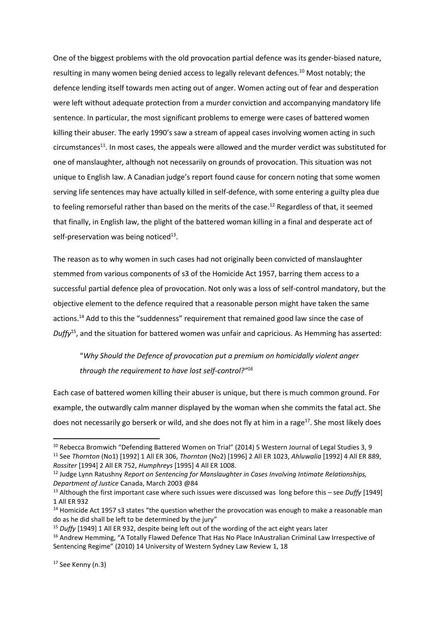One of the biggest problems with the old provocation partial defence was its gender-biased nature, resulting in many women being denied access to legally relevant defences.<sup>10</sup> Most notably; the defence lending itself towards men acting out of anger. Women acting out of fear and desperation were left without adequate protection from a murder conviction and accompanying mandatory life sentence. In particular, the most significant problems to emerge were cases of battered women killing their abuser*.* The early 1990's saw a stream of appeal cases involving women acting in such circumstances<sup>11</sup>. In most cases, the appeals were allowed and the murder verdict was substituted for one of manslaughter, although not necessarily on grounds of provocation. This situation was not unique to English law. A Canadian judge's report found cause for concern noting that some women serving life sentences may have actually killed in self-defence, with some entering a guilty plea due to feeling remorseful rather than based on the merits of the case.<sup>12</sup> Regardless of that, it seemed that finally, in English law, the plight of the battered woman killing in a final and desperate act of self-preservation was being noticed<sup>13</sup>.

The reason as to why women in such cases had not originally been convicted of manslaughter stemmed from various components of s3 of the Homicide Act 1957, barring them access to a successful partial defence plea of provocation. Not only was a loss of self-control mandatory, but the objective element to the defence required that a reasonable person might have taken the same actions.<sup>14</sup> Add to this the "suddenness" requirement that remained good law since the case of *Duffy*<sup>15</sup>, and the situation for battered women was unfair and capricious. As Hemming has asserted:

## "*Why Should the Defence of provocation put a premium on homicidally violent anger through the requirement to have lost self-control?"<sup>16</sup>*

Each case of battered women killing their abuser is unique, but there is much common ground. For example, the outwardly calm manner displayed by the woman when she commits the fatal act. She does not necessarily go berserk or wild, and she does not fly at him in a rage<sup>17</sup>. She most likely does

<sup>&</sup>lt;sup>10</sup> Rebecca Bromwich "Defending Battered Women on Trial" (2014) 5 Western Journal of Legal Studies 3, 9 <sup>11</sup> See *Thornton* (No1) [1992] 1 All ER 306, *Thornton* (No2) [1996] 2 All ER 1023, *Ahluwalia* [1992] 4 All ER 889, *Rossiter* [1994] 2 All ER 752, *Humphreys* [1995] 4 All ER 1008.

<sup>12</sup> Judge Lynn Ratushny *Report on Sentencing for Manslaughter in Cases Involving Intimate Relationships, Department of Justice* Canada, March 2003 @84

<sup>13</sup> Although the first important case where such issues were discussed was long before this – see *Duffy* [1949] 1 All ER 932

<sup>&</sup>lt;sup>14</sup> Homicide Act 1957 s3 states "the question whether the provocation was enough to make a reasonable man do as he did shall be left to be determined by the jury"

<sup>15</sup> *Duffy* [1949] 1 All ER 932, despite being left out of the wording of the act eight years later

<sup>&</sup>lt;sup>16</sup> Andrew Hemming, "A Totally Flawed Defence That Has No Place InAustralian Criminal Law Irrespective of Sentencing Regime" (2010) 14 University of Western Sydney Law Review 1, 18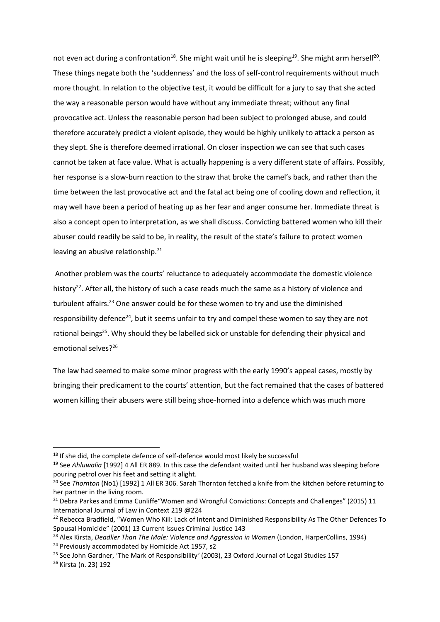not even act during a confrontation<sup>18</sup>. She might wait until he is sleeping<sup>19</sup>. She might arm herself<sup>20</sup>. These things negate both the 'suddenness' and the loss of self-control requirements without much more thought. In relation to the objective test, it would be difficult for a jury to say that she acted the way a reasonable person would have without any immediate threat; without any final provocative act. Unless the reasonable person had been subject to prolonged abuse, and could therefore accurately predict a violent episode, they would be highly unlikely to attack a person as they slept. She is therefore deemed irrational. On closer inspection we can see that such cases cannot be taken at face value. What is actually happening is a very different state of affairs. Possibly, her response is a slow-burn reaction to the straw that broke the camel's back, and rather than the time between the last provocative act and the fatal act being one of cooling down and reflection, it may well have been a period of heating up as her fear and anger consume her. Immediate threat is also a concept open to interpretation, as we shall discuss. Convicting battered women who kill their abuser could readily be said to be, in reality, the result of the state's failure to protect women leaving an abusive relationship.<sup>21</sup>

Another problem was the courts' reluctance to adequately accommodate the domestic violence history<sup>22</sup>. After all, the history of such a case reads much the same as a history of violence and turbulent affairs.<sup>23</sup> One answer could be for these women to try and use the diminished responsibility defence<sup>24</sup>, but it seems unfair to try and compel these women to say they are not rational beings<sup>25</sup>. Why should they be labelled sick or unstable for defending their physical and emotional selves?<sup>26</sup>

The law had seemed to make some minor progress with the early 1990's appeal cases, mostly by bringing their predicament to the courts' attention, but the fact remained that the cases of battered women killing their abusers were still being shoe-horned into a defence which was much more

<sup>&</sup>lt;sup>18</sup> If she did, the complete defence of self-defence would most likely be successful

<sup>19</sup> See *Ahluwalia* [1992] 4 All ER 889. In this case the defendant waited until her husband was sleeping before pouring petrol over his feet and setting it alight.

<sup>20</sup> See *Thornton* (No1) [1992] 1 All ER 306. Sarah Thornton fetched a knife from the kitchen before returning to her partner in the living room.

<sup>&</sup>lt;sup>21</sup> Debra Parkes and Emma Cunliffe"Women and Wrongful Convictions: Concepts and Challenges" (2015) 11 International Journal of Law in Context 219 @224

<sup>&</sup>lt;sup>22</sup> Rebecca Bradfield, "Women Who Kill: Lack of Intent and Diminished Responsibility As The Other Defences To Spousal Homicide" (2001) 13 Current Issues Criminal Justice 143

<sup>&</sup>lt;sup>23</sup> Alex Kirsta, *Deadlier Than The Male: Violence and Aggression in Women* (London, HarperCollins, 1994) <sup>24</sup> Previously accommodated by Homicide Act 1957, s2

<sup>25</sup> See John Gardner, 'The Mark of Responsibility*'* (2003), 23 Oxford Journal of Legal Studies 157

<sup>26</sup> Kirsta (n. 23) 192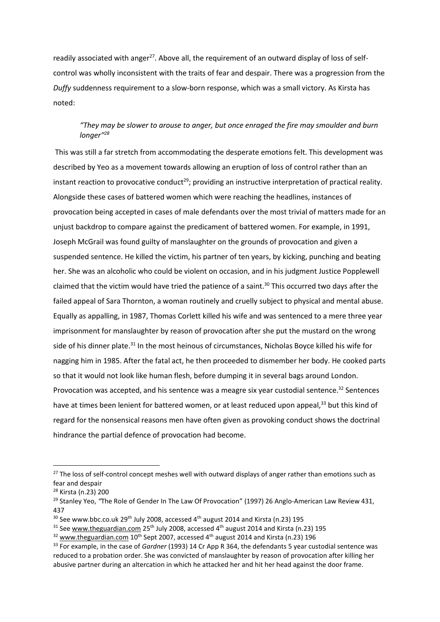readily associated with anger<sup>27</sup>. Above all, the requirement of an outward display of loss of selfcontrol was wholly inconsistent with the traits of fear and despair. There was a progression from the *Duffy* suddenness requirement to a slow-born response, which was a small victory. As Kirsta has noted:

## *"They may be slower to arouse to anger, but once enraged the fire may smoulder and burn longer"<sup>28</sup>*

This was still a far stretch from accommodating the desperate emotions felt. This development was described by Yeo as a movement towards allowing an eruption of loss of control rather than an instant reaction to provocative conduct<sup>29</sup>; providing an instructive interpretation of practical reality. Alongside these cases of battered women which were reaching the headlines, instances of provocation being accepted in cases of male defendants over the most trivial of matters made for an unjust backdrop to compare against the predicament of battered women. For example, in 1991, Joseph McGrail was found guilty of manslaughter on the grounds of provocation and given a suspended sentence. He killed the victim, his partner of ten years, by kicking, punching and beating her. She was an alcoholic who could be violent on occasion, and in his judgment Justice Popplewell claimed that the victim would have tried the patience of a saint.<sup>30</sup> This occurred two days after the failed appeal of Sara Thornton, a woman routinely and cruelly subject to physical and mental abuse. Equally as appalling, in 1987, Thomas Corlett killed his wife and was sentenced to a mere three year imprisonment for manslaughter by reason of provocation after she put the mustard on the wrong side of his dinner plate.<sup>31</sup> In the most heinous of circumstances, Nicholas Boyce killed his wife for nagging him in 1985. After the fatal act, he then proceeded to dismember her body. He cooked parts so that it would not look like human flesh, before dumping it in several bags around London. Provocation was accepted, and his sentence was a meagre six year custodial sentence.<sup>32</sup> Sentences have at times been lenient for battered women, or at least reduced upon appeal,<sup>33</sup> but this kind of regard for the nonsensical reasons men have often given as provoking conduct shows the doctrinal hindrance the partial defence of provocation had become.

<sup>&</sup>lt;sup>27</sup> The loss of self-control concept meshes well with outward displays of anger rather than emotions such as fear and despair

<sup>28</sup> Kirsta (n.23) 200

<sup>&</sup>lt;sup>29</sup> Stanlev Yeo, "The Role of Gender In The Law Of Provocation" (1997) 26 Anglo-American Law Review 431, 437

 $30$  See www.bbc.co.uk 29<sup>th</sup> July 2008, accessed 4<sup>th</sup> august 2014 and Kirsta (n.23) 195

 $31$  Se[e www.theguardian.com](http://www.theguardian.com/) 25<sup>th</sup> July 2008, accessed 4<sup>th</sup> august 2014 and Kirsta (n.23) 195

<sup>&</sup>lt;sup>32</sup> [www.theguardian.com](http://www.theguardian.com/) 10<sup>th</sup> Sept 2007, accessed 4<sup>th</sup> august 2014 and Kirsta (n.23) 196

<sup>33</sup> For example, in the case of *Gardner* (1993) 14 Cr App R 364, the defendants 5 year custodial sentence was reduced to a probation order. She was convicted of manslaughter by reason of provocation after killing her abusive partner during an altercation in which he attacked her and hit her head against the door frame.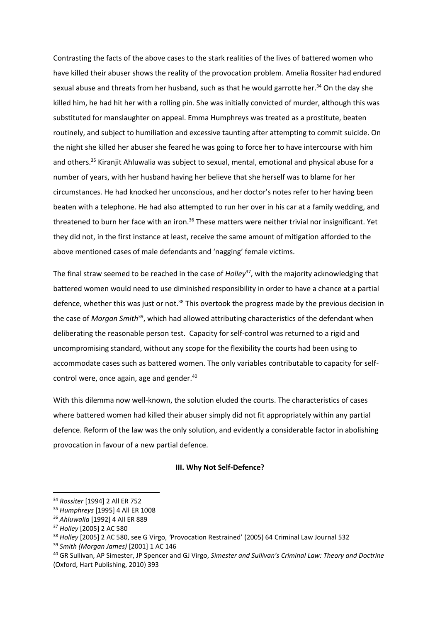Contrasting the facts of the above cases to the stark realities of the lives of battered women who have killed their abuser shows the reality of the provocation problem. Amelia Rossiter had endured sexual abuse and threats from her husband, such as that he would garrotte her. $34$  On the day she killed him, he had hit her with a rolling pin. She was initially convicted of murder, although this was substituted for manslaughter on appeal. Emma Humphreys was treated as a prostitute, beaten routinely, and subject to humiliation and excessive taunting after attempting to commit suicide. On the night she killed her abuser she feared he was going to force her to have intercourse with him and others.<sup>35</sup> Kiranjit Ahluwalia was subject to sexual, mental, emotional and physical abuse for a number of years, with her husband having her believe that she herself was to blame for her circumstances. He had knocked her unconscious, and her doctor's notes refer to her having been beaten with a telephone. He had also attempted to run her over in his car at a family wedding, and threatened to burn her face with an iron.<sup>36</sup> These matters were neither trivial nor insignificant. Yet they did not, in the first instance at least, receive the same amount of mitigation afforded to the above mentioned cases of male defendants and 'nagging' female victims.

The final straw seemed to be reached in the case of *Holley*<sup>37</sup>, with the majority acknowledging that battered women would need to use diminished responsibility in order to have a chance at a partial defence, whether this was just or not.<sup>38</sup> This overtook the progress made by the previous decision in the case of *Morgan Smith*<sup>39</sup>, which had allowed attributing characteristics of the defendant when deliberating the reasonable person test. Capacity for self-control was returned to a rigid and uncompromising standard, without any scope for the flexibility the courts had been using to accommodate cases such as battered women. The only variables contributable to capacity for selfcontrol were, once again, age and gender.<sup>40</sup>

With this dilemma now well-known, the solution eluded the courts. The characteristics of cases where battered women had killed their abuser simply did not fit appropriately within any partial defence. Reform of the law was the only solution, and evidently a considerable factor in abolishing provocation in favour of a new partial defence.

#### **III. Why Not Self-Defence?**

<sup>34</sup> *Rossiter* [1994] 2 All ER 752

<sup>35</sup> *Humphreys* [1995] 4 All ER 1008

<sup>36</sup> *Ahluwalia* [1992] 4 All ER 889

<sup>37</sup> *Holley* [2005] 2 AC 580

<sup>38</sup> *Holley* [2005] 2 AC 580, see G Virgo, *'*Provocation Restrained' (2005) 64 Criminal Law Journal 532

<sup>39</sup> *Smith (Morgan James)* [2001] 1 AC 146

<sup>40</sup> GR Sullivan, AP Simester, JP Spencer and GJ Virgo, *Simester and Sullivan's Criminal Law: Theory and Doctrine* (Oxford, Hart Publishing, 2010) 393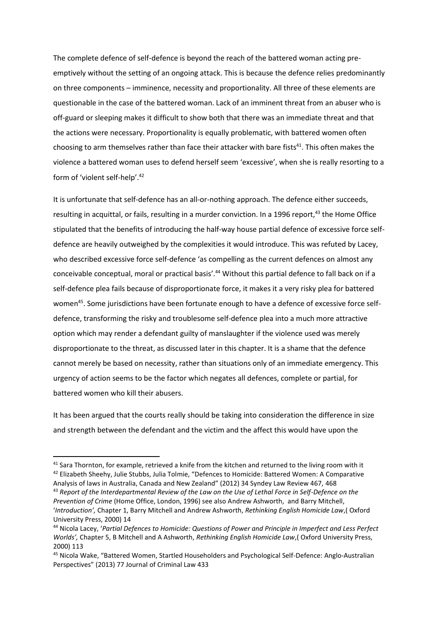The complete defence of self-defence is beyond the reach of the battered woman acting preemptively without the setting of an ongoing attack. This is because the defence relies predominantly on three components – imminence, necessity and proportionality. All three of these elements are questionable in the case of the battered woman. Lack of an imminent threat from an abuser who is off-guard or sleeping makes it difficult to show both that there was an immediate threat and that the actions were necessary. Proportionality is equally problematic, with battered women often choosing to arm themselves rather than face their attacker with bare fists<sup>41</sup>. This often makes the violence a battered woman uses to defend herself seem 'excessive', when she is really resorting to a form of 'violent self-help'.<sup>42</sup>

It is unfortunate that self-defence has an all-or-nothing approach. The defence either succeeds, resulting in acquittal, or fails, resulting in a murder conviction. In a 1996 report,<sup>43</sup> the Home Office stipulated that the benefits of introducing the half-way house partial defence of excessive force selfdefence are heavily outweighed by the complexities it would introduce. This was refuted by Lacey, who described excessive force self-defence 'as compelling as the current defences on almost any conceivable conceptual, moral or practical basis'.<sup>44</sup> Without this partial defence to fall back on if a self-defence plea fails because of disproportionate force, it makes it a very risky plea for battered women<sup>45</sup>. Some jurisdictions have been fortunate enough to have a defence of excessive force selfdefence, transforming the risky and troublesome self-defence plea into a much more attractive option which may render a defendant guilty of manslaughter if the violence used was merely disproportionate to the threat, as discussed later in this chapter. It is a shame that the defence cannot merely be based on necessity, rather than situations only of an immediate emergency. This urgency of action seems to be the factor which negates all defences, complete or partial, for battered women who kill their abusers.

It has been argued that the courts really should be taking into consideration the difference in size and strength between the defendant and the victim and the affect this would have upon the

<sup>&</sup>lt;sup>41</sup> Sara Thornton, for example, retrieved a knife from the kitchen and returned to the living room with it 42 Elizabeth Sheehy, Julie Stubbs, Julia Tolmie, "Defences to Homicide: Battered Women: A Comparative

Analysis of laws in Australia, Canada and New Zealand" (2012) 34 Syndey Law Review 467, 468 <sup>43</sup> *Report of the Interdepartmental Review of the Law on the Use of Lethal Force in Self-Defence on the Prevention of Crime* (Home Office, London, 1996) see also Andrew Ashworth, and Barry Mitchell, '*Introduction',* Chapter 1, Barry Mitchell and Andrew Ashworth, *Rethinking English Homicide Law*,( Oxford University Press, 2000) 14

<sup>44</sup> Nicola Lacey, '*Partial Defences to Homicide: Questions of Power and Principle in Imperfect and Less Perfect Worlds',* Chapter 5, B Mitchell and A Ashworth, *Rethinking English Homicide Law*,( Oxford University Press, 2000) 113

<sup>45</sup> Nicola Wake, "Battered Women, Startled Householders and Psychological Self-Defence: Anglo-Australian Perspectives" (2013) 77 Journal of Criminal Law 433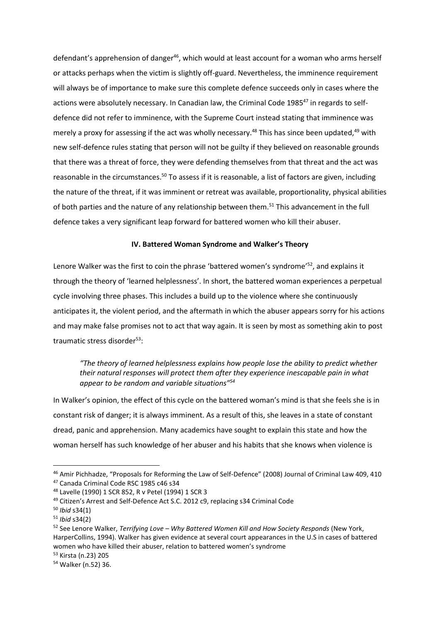defendant's apprehension of danger<sup>46</sup>, which would at least account for a woman who arms herself or attacks perhaps when the victim is slightly off-guard. Nevertheless, the imminence requirement will always be of importance to make sure this complete defence succeeds only in cases where the actions were absolutely necessary. In Canadian law, the Criminal Code 1985<sup>47</sup> in regards to selfdefence did not refer to imminence, with the Supreme Court instead stating that imminence was merely a proxy for assessing if the act was wholly necessary.<sup>48</sup> This has since been updated,<sup>49</sup> with new self-defence rules stating that person will not be guilty if they believed on reasonable grounds that there was a threat of force, they were defending themselves from that threat and the act was reasonable in the circumstances.<sup>50</sup> To assess if it is reasonable, a list of factors are given, including the nature of the threat, if it was imminent or retreat was available, proportionality, physical abilities of both parties and the nature of any relationship between them.<sup>51</sup> This advancement in the full defence takes a very significant leap forward for battered women who kill their abuser.

#### **IV. Battered Woman Syndrome and Walker's Theory**

Lenore Walker was the first to coin the phrase 'battered women's syndrome'<sup>52</sup>, and explains it through the theory of 'learned helplessness'. In short, the battered woman experiences a perpetual cycle involving three phases. This includes a build up to the violence where she continuously anticipates it, the violent period, and the aftermath in which the abuser appears sorry for his actions and may make false promises not to act that way again. It is seen by most as something akin to post traumatic stress disorder<sup>53</sup>:

*"The theory of learned helplessness explains how people lose the ability to predict whether their natural responses will protect them after they experience inescapable pain in what appear to be random and variable situations"<sup>54</sup>*

In Walker's opinion, the effect of this cycle on the battered woman's mind is that she feels she is in constant risk of danger; it is always imminent. As a result of this, she leaves in a state of constant dread, panic and apprehension. Many academics have sought to explain this state and how the woman herself has such knowledge of her abuser and his habits that she knows when violence is

<sup>46</sup> Amir Pichhadze, "Proposals for Reforming the Law of Self-Defence" (2008) Journal of Criminal Law 409, 410 <sup>47</sup> Canada Criminal Code RSC 1985 c46 s34

<sup>48</sup> Lavelle (1990) 1 SCR 852, R v Petel (1994) 1 SCR 3

<sup>49</sup> Citizen's Arrest and Self-Defence Act S.C. 2012 c9, replacing s34 Criminal Code

<sup>50</sup> *Ibid* s34(1)

<sup>51</sup> *Ibid* s34(2)

<sup>52</sup> See Lenore Walker, *Terrifying Love – Why Battered Women Kill and How Society Responds* (New York, HarperCollins, 1994). Walker has given evidence at several court appearances in the U.S in cases of battered women who have killed their abuser, relation to battered women's syndrome

<sup>53</sup> Kirsta (n.23) 205

<sup>54</sup> Walker (n.52) 36.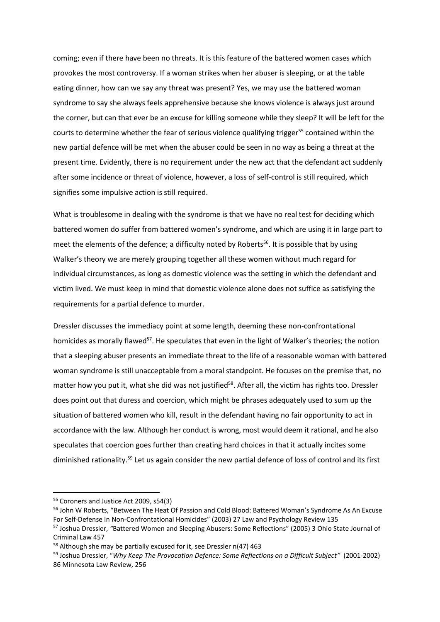coming; even if there have been no threats. It is this feature of the battered women cases which provokes the most controversy. If a woman strikes when her abuser is sleeping, or at the table eating dinner, how can we say any threat was present? Yes, we may use the battered woman syndrome to say she always feels apprehensive because she knows violence is always just around the corner, but can that ever be an excuse for killing someone while they sleep? It will be left for the courts to determine whether the fear of serious violence qualifying trigger<sup>55</sup> contained within the new partial defence will be met when the abuser could be seen in no way as being a threat at the present time. Evidently, there is no requirement under the new act that the defendant act suddenly after some incidence or threat of violence, however, a loss of self-control is still required, which signifies some impulsive action is still required.

What is troublesome in dealing with the syndrome is that we have no real test for deciding which battered women do suffer from battered women's syndrome, and which are using it in large part to meet the elements of the defence; a difficulty noted by Roberts<sup>56</sup>. It is possible that by using Walker's theory we are merely grouping together all these women without much regard for individual circumstances, as long as domestic violence was the setting in which the defendant and victim lived. We must keep in mind that domestic violence alone does not suffice as satisfying the requirements for a partial defence to murder.

Dressler discusses the immediacy point at some length, deeming these non-confrontational homicides as morally flawed<sup>57</sup>. He speculates that even in the light of Walker's theories; the notion that a sleeping abuser presents an immediate threat to the life of a reasonable woman with battered woman syndrome is still unacceptable from a moral standpoint. He focuses on the premise that, no matter how you put it, what she did was not justified<sup>58</sup>. After all, the victim has rights too. Dressler does point out that duress and coercion, which might be phrases adequately used to sum up the situation of battered women who kill, result in the defendant having no fair opportunity to act in accordance with the law. Although her conduct is wrong, most would deem it rational, and he also speculates that coercion goes further than creating hard choices in that it actually incites some diminished rationality.<sup>59</sup> Let us again consider the new partial defence of loss of control and its first

<sup>55</sup> Coroners and Justice Act 2009, s54(3)

<sup>&</sup>lt;sup>56</sup> John W Roberts, "Between The Heat Of Passion and Cold Blood: Battered Woman's Syndrome As An Excuse For Self-Defense In Non-Confrontational Homicides" (2003) 27 Law and Psychology Review 135 <sup>57</sup> Joshua Dressler, *"*Battered Women and Sleeping Abusers: Some Reflections" (2005) 3 Ohio State Journal of Criminal Law 457

<sup>58</sup> Although she may be partially excused for it, see Dressler n(47) 463

<sup>59</sup> Joshua Dressler, "*Why Keep The Provocation Defence: Some Reflections on a Difficult Subject"* (2001-2002) 86 Minnesota Law Review, 256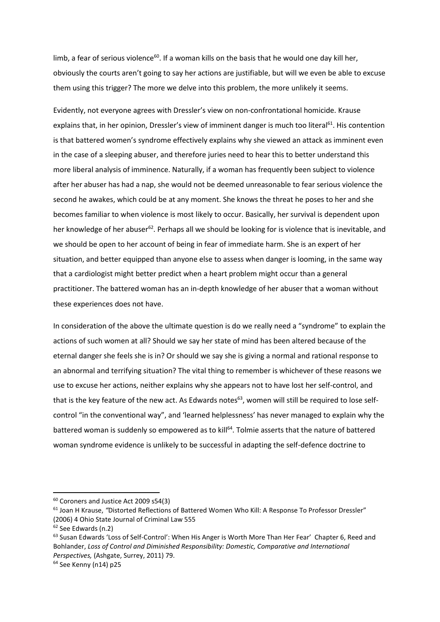limb, a fear of serious violence<sup>60</sup>. If a woman kills on the basis that he would one day kill her, obviously the courts aren't going to say her actions are justifiable, but will we even be able to excuse them using this trigger? The more we delve into this problem, the more unlikely it seems.

Evidently, not everyone agrees with Dressler's view on non-confrontational homicide. Krause explains that, in her opinion, Dressler's view of imminent danger is much too literal<sup>61</sup>. His contention is that battered women's syndrome effectively explains why she viewed an attack as imminent even in the case of a sleeping abuser, and therefore juries need to hear this to better understand this more liberal analysis of imminence. Naturally, if a woman has frequently been subject to violence after her abuser has had a nap, she would not be deemed unreasonable to fear serious violence the second he awakes, which could be at any moment. She knows the threat he poses to her and she becomes familiar to when violence is most likely to occur. Basically, her survival is dependent upon her knowledge of her abuser<sup>62</sup>. Perhaps all we should be looking for is violence that is inevitable, and we should be open to her account of being in fear of immediate harm. She is an expert of her situation, and better equipped than anyone else to assess when danger is looming, in the same way that a cardiologist might better predict when a heart problem might occur than a general practitioner. The battered woman has an in-depth knowledge of her abuser that a woman without these experiences does not have.

In consideration of the above the ultimate question is do we really need a "syndrome" to explain the actions of such women at all? Should we say her state of mind has been altered because of the eternal danger she feels she is in? Or should we say she is giving a normal and rational response to an abnormal and terrifying situation? The vital thing to remember is whichever of these reasons we use to excuse her actions, neither explains why she appears not to have lost her self-control, and that is the key feature of the new act. As Edwards notes<sup>63</sup>, women will still be required to lose selfcontrol "in the conventional way", and 'learned helplessness' has never managed to explain why the battered woman is suddenly so empowered as to kill<sup>64</sup>. Tolmie asserts that the nature of battered woman syndrome evidence is unlikely to be successful in adapting the self-defence doctrine to

<sup>60</sup> Coroners and Justice Act 2009 s54(3)

<sup>61</sup> Joan H Krause, *"*Distorted Reflections of Battered Women Who Kill: A Response To Professor Dressler" (2006) 4 Ohio State Journal of Criminal Law 555

<sup>62</sup> See Edwards (n.2)

<sup>63</sup> Susan Edwards 'Loss of Self-Control': When His Anger is Worth More Than Her Fear'Chapter 6, Reed and Bohlander, *Loss of Control and Diminished Responsibility: Domestic, Comparative and International Perspectives,* (Ashgate, Surrey, 2011) 79.

<sup>64</sup> See Kenny (n14) p25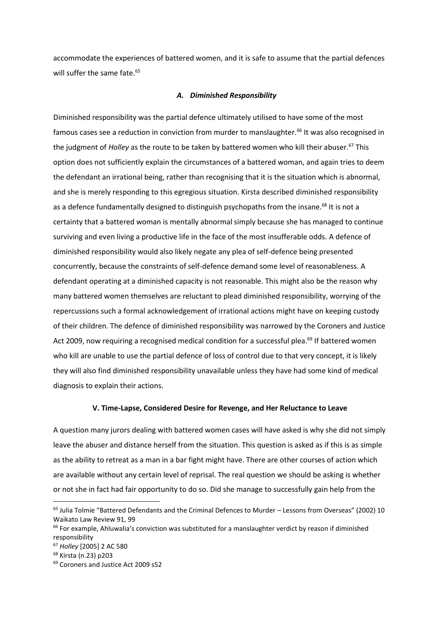accommodate the experiences of battered women, and it is safe to assume that the partial defences will suffer the same fate.<sup>65</sup>

#### *A. Diminished Responsibility*

Diminished responsibility was the partial defence ultimately utilised to have some of the most famous cases see a reduction in conviction from murder to manslaughter.<sup>66</sup> It was also recognised in the judgment of *Holley* as the route to be taken by battered women who kill their abuser.<sup>67</sup> This option does not sufficiently explain the circumstances of a battered woman, and again tries to deem the defendant an irrational being, rather than recognising that it is the situation which is abnormal, and she is merely responding to this egregious situation. Kirsta described diminished responsibility as a defence fundamentally designed to distinguish psychopaths from the insane.<sup>68</sup> It is not a certainty that a battered woman is mentally abnormal simply because she has managed to continue surviving and even living a productive life in the face of the most insufferable odds. A defence of diminished responsibility would also likely negate any plea of self-defence being presented concurrently, because the constraints of self-defence demand some level of reasonableness. A defendant operating at a diminished capacity is not reasonable. This might also be the reason why many battered women themselves are reluctant to plead diminished responsibility, worrying of the repercussions such a formal acknowledgement of irrational actions might have on keeping custody of their children. The defence of diminished responsibility was narrowed by the Coroners and Justice Act 2009, now requiring a recognised medical condition for a successful plea.<sup>69</sup> If battered women who kill are unable to use the partial defence of loss of control due to that very concept, it is likely they will also find diminished responsibility unavailable unless they have had some kind of medical diagnosis to explain their actions.

#### **V. Time-Lapse, Considered Desire for Revenge, and Her Reluctance to Leave**

A question many jurors dealing with battered women cases will have asked is why she did not simply leave the abuser and distance herself from the situation. This question is asked as if this is as simple as the ability to retreat as a man in a bar fight might have. There are other courses of action which are available without any certain level of reprisal. The real question we should be asking is whether or not she in fact had fair opportunity to do so. Did she manage to successfully gain help from the

<sup>&</sup>lt;sup>65</sup> Julia Tolmie "Battered Defendants and the Criminal Defences to Murder – Lessons from Overseas" (2002) 10 Waikato Law Review 91, 99

 $66$  For example, Ahluwalia's conviction was substituted for a manslaughter verdict by reason if diminished responsibility

<sup>67</sup> *Holley* [2005] 2 AC 580

<sup>68</sup> Kirsta (n.23) p203

<sup>69</sup> Coroners and Justice Act 2009 s52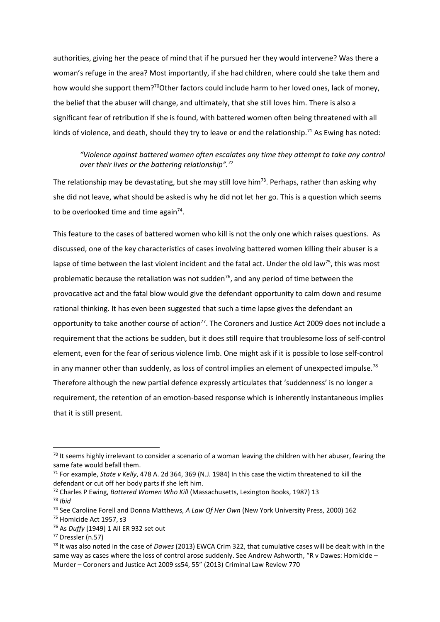authorities, giving her the peace of mind that if he pursued her they would intervene? Was there a woman's refuge in the area? Most importantly, if she had children, where could she take them and how would she support them?<sup>70</sup>Other factors could include harm to her loved ones, lack of money, the belief that the abuser will change, and ultimately, that she still loves him. There is also a significant fear of retribution if she is found, with battered women often being threatened with all kinds of violence, and death, should they try to leave or end the relationship.<sup>71</sup> As Ewing has noted:

## *"Violence against battered women often escalates any time they attempt to take any control over their lives or the battering relationship".<sup>72</sup>*

The relationship may be devastating, but she may still love him<sup>73</sup>. Perhaps, rather than asking why she did not leave, what should be asked is why he did not let her go. This is a question which seems to be overlooked time and time again<sup>74</sup>.

This feature to the cases of battered women who kill is not the only one which raises questions. As discussed, one of the key characteristics of cases involving battered women killing their abuser is a lapse of time between the last violent incident and the fatal act. Under the old law<sup>75</sup>, this was most problematic because the retaliation was not sudden<sup>76</sup>, and any period of time between the provocative act and the fatal blow would give the defendant opportunity to calm down and resume rational thinking. It has even been suggested that such a time lapse gives the defendant an opportunity to take another course of action<sup>77</sup>. The Coroners and Justice Act 2009 does not include a requirement that the actions be sudden, but it does still require that troublesome loss of self-control element, even for the fear of serious violence limb. One might ask if it is possible to lose self-control in any manner other than suddenly, as loss of control implies an element of unexpected impulse.<sup>78</sup> Therefore although the new partial defence expressly articulates that 'suddenness' is no longer a requirement, the retention of an emotion-based response which is inherently instantaneous implies that it is still present.

<sup>&</sup>lt;sup>70</sup> It seems highly irrelevant to consider a scenario of a woman leaving the children with her abuser, fearing the same fate would befall them.

<sup>71</sup> For example, *State v Kelly*, 478 A. 2d 364, 369 (N.J. 1984) In this case the victim threatened to kill the defendant or cut off her body parts if she left him.

<sup>72</sup> Charles P Ewing, *Battered Women Who Kill* (Massachusetts, Lexington Books, 1987) 13 <sup>73</sup> *Ibid*

<sup>74</sup> See Caroline Forell and Donna Matthews, *A Law Of Her Own* (New York University Press, 2000) 162

<sup>75</sup> Homicide Act 1957, s3

<sup>76</sup> As *Duffy* [1949] 1 All ER 932 set out

<sup>77</sup> Dressler (n.57)

<sup>78</sup> It was also noted in the case of *Dawes* (2013) EWCA Crim 322, that cumulative cases will be dealt with in the same way as cases where the loss of control arose suddenly. See Andrew Ashworth, "R v Dawes: Homicide – Murder – Coroners and Justice Act 2009 ss54, 55" (2013) Criminal Law Review 770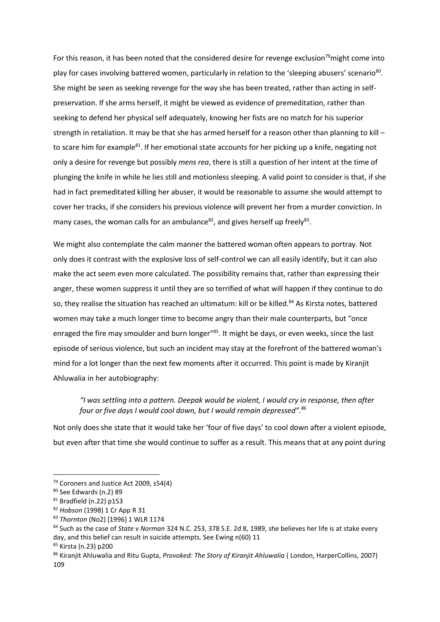For this reason, it has been noted that the considered desire for revenge exclusion<sup>79</sup>might come into play for cases involving battered women, particularly in relation to the 'sleeping abusers' scenario<sup>80</sup>. She might be seen as seeking revenge for the way she has been treated, rather than acting in selfpreservation. If she arms herself, it might be viewed as evidence of premeditation, rather than seeking to defend her physical self adequately, knowing her fists are no match for his superior strength in retaliation. It may be that she has armed herself for a reason other than planning to kill – to scare him for example<sup>81</sup>. If her emotional state accounts for her picking up a knife, negating not only a desire for revenge but possibly *mens rea*, there is still a question of her intent at the time of plunging the knife in while he lies still and motionless sleeping. A valid point to consider is that, if she had in fact premeditated killing her abuser, it would be reasonable to assume she would attempt to cover her tracks, if she considers his previous violence will prevent her from a murder conviction. In many cases, the woman calls for an ambulance<sup>82</sup>, and gives herself up freely<sup>83</sup>.

We might also contemplate the calm manner the battered woman often appears to portray. Not only does it contrast with the explosive loss of self-control we can all easily identify, but it can also make the act seem even more calculated. The possibility remains that, rather than expressing their anger, these women suppress it until they are so terrified of what will happen if they continue to do so, they realise the situation has reached an ultimatum: kill or be killed.<sup>84</sup> As Kirsta notes, battered women may take a much longer time to become angry than their male counterparts, but "once enraged the fire may smoulder and burn longer"<sup>85</sup>. It might be days, or even weeks, since the last episode of serious violence, but such an incident may stay at the forefront of the battered woman's mind for a lot longer than the next few moments after it occurred. This point is made by Kiranjit Ahluwalia in her autobiography:

*"I was settling into a pattern. Deepak would be violent, I would cry in response, then after four or five days I would cool down, but I would remain depressed".<sup>86</sup>*

Not only does she state that it would take her 'four of five days' to cool down after a violent episode, but even after that time she would continue to suffer as a result. This means that at any point during

<sup>79</sup> Coroners and Justice Act 2009, s54(4)

<sup>80</sup> See Edwards (n.2) 89

<sup>81</sup> Bradfield (n.22) p153

<sup>82</sup> *Hobson* (1998) 1 Cr App R 31

<sup>83</sup> *Thornton* (No2) [1996] 1 WLR 1174

<sup>84</sup> Such as the case of *State v Norman* 324 N.C. 253, 378 S.E. 2d 8, 1989, she believes her life is at stake every day, and this belief can result in suicide attempts. See Ewing n(60) 11

<sup>85</sup> Kirsta (n.23) p200

<sup>86</sup> Kiranjit Ahluwalia and Ritu Gupta, *Provoked: The Story of Kiranjit Ahluwalia* ( London, HarperCollins, 2007) 109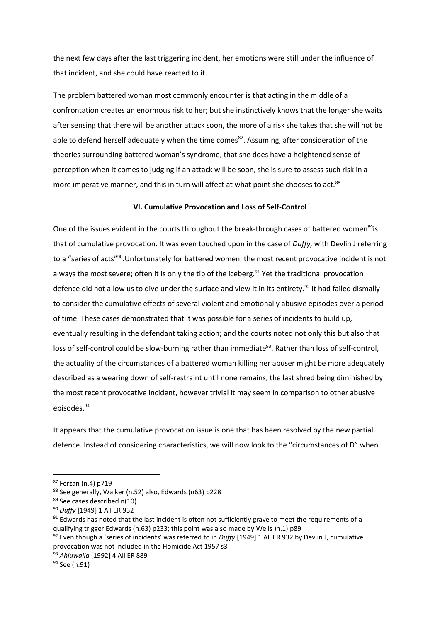the next few days after the last triggering incident, her emotions were still under the influence of that incident, and she could have reacted to it.

The problem battered woman most commonly encounter is that acting in the middle of a confrontation creates an enormous risk to her; but she instinctively knows that the longer she waits after sensing that there will be another attack soon, the more of a risk she takes that she will not be able to defend herself adequately when the time comes<sup>87</sup>. Assuming, after consideration of the theories surrounding battered woman's syndrome, that she does have a heightened sense of perception when it comes to judging if an attack will be soon, she is sure to assess such risk in a more imperative manner, and this in turn will affect at what point she chooses to act.<sup>88</sup>

## **VI. Cumulative Provocation and Loss of Self-Control**

One of the issues evident in the courts throughout the break-through cases of battered women<sup>89</sup>is that of cumulative provocation. It was even touched upon in the case of *Duffy,* with Devlin J referring to a "series of acts"<sup>90</sup>.Unfortunately for battered women, the most recent provocative incident is not always the most severe; often it is only the tip of the iceberg.<sup>91</sup> Yet the traditional provocation defence did not allow us to dive under the surface and view it in its entirety.<sup>92</sup> It had failed dismally to consider the cumulative effects of several violent and emotionally abusive episodes over a period of time. These cases demonstrated that it was possible for a series of incidents to build up, eventually resulting in the defendant taking action; and the courts noted not only this but also that loss of self-control could be slow-burning rather than immediate<sup>93</sup>. Rather than loss of self-control, the actuality of the circumstances of a battered woman killing her abuser might be more adequately described as a wearing down of self-restraint until none remains, the last shred being diminished by the most recent provocative incident, however trivial it may seem in comparison to other abusive episodes.<sup>94</sup>

It appears that the cumulative provocation issue is one that has been resolved by the new partial defence. Instead of considering characteristics, we will now look to the "circumstances of D" when

<sup>87</sup> Ferzan (n.4) p719

<sup>88</sup> See generally, Walker (n.52) also, Edwards (n63) p228

<sup>89</sup> See cases described n(10)

<sup>90</sup> *Duffy* [1949] 1 All ER 932

 $91$  Edwards has noted that the last incident is often not sufficiently grave to meet the requirements of a qualifying trigger Edwards (n.63) p233; this point was also made by Wells )n.1) p89

<sup>92</sup> Even though a 'series of incidents' was referred to in *Duffy* [1949] 1 All ER 932 by Devlin J, cumulative provocation was not included in the Homicide Act 1957 s3

<sup>93</sup> *Ahluwalia* [1992] 4 All ER 889

<sup>94</sup> See (n.91)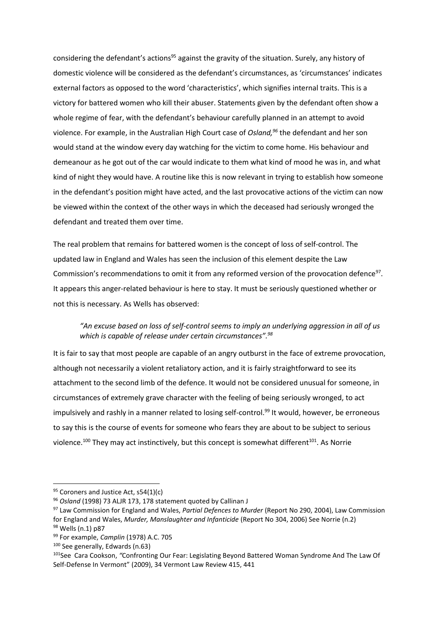considering the defendant's actions<sup>95</sup> against the gravity of the situation. Surely, any history of domestic violence will be considered as the defendant's circumstances, as 'circumstances' indicates external factors as opposed to the word 'characteristics', which signifies internal traits. This is a victory for battered women who kill their abuser. Statements given by the defendant often show a whole regime of fear, with the defendant's behaviour carefully planned in an attempt to avoid violence. For example, in the Australian High Court case of *Osland,<sup>96</sup>* the defendant and her son would stand at the window every day watching for the victim to come home. His behaviour and demeanour as he got out of the car would indicate to them what kind of mood he was in, and what kind of night they would have. A routine like this is now relevant in trying to establish how someone in the defendant's position might have acted, and the last provocative actions of the victim can now be viewed within the context of the other ways in which the deceased had seriously wronged the defendant and treated them over time.

The real problem that remains for battered women is the concept of loss of self-control. The updated law in England and Wales has seen the inclusion of this element despite the Law Commission's recommendations to omit it from any reformed version of the provocation defence<sup>97</sup>. It appears this anger-related behaviour is here to stay. It must be seriously questioned whether or not this is necessary. As Wells has observed:

## *"An excuse based on loss of self-control seems to imply an underlying aggression in all of us which is capable of release under certain circumstances".<sup>98</sup>*

It is fair to say that most people are capable of an angry outburst in the face of extreme provocation, although not necessarily a violent retaliatory action, and it is fairly straightforward to see its attachment to the second limb of the defence. It would not be considered unusual for someone, in circumstances of extremely grave character with the feeling of being seriously wronged, to act impulsively and rashly in a manner related to losing self-control.<sup>99</sup> It would, however, be erroneous to say this is the course of events for someone who fears they are about to be subject to serious violence.<sup>100</sup> They may act instinctively, but this concept is somewhat different<sup>101</sup>. As Norrie

 $95$  Coroners and Justice Act, s54(1)(c)

<sup>96</sup> *Osland* (1998) 73 ALJR 173, 178 statement quoted by Callinan J

<sup>97</sup> Law Commission for England and Wales, *Partial Defences to Murder* (Report No 290, 2004), Law Commission for England and Wales, *Murder, Manslaughter and Infanticide* (Report No 304, 2006) See Norrie (n.2) <sup>98</sup> Wells (n.1) p87

<sup>99</sup> For example, *Camplin* (1978) A.C. 705

<sup>100</sup> See generally, Edwards (n.63)

<sup>101</sup>See Cara Cookson, *"*Confronting Our Fear: Legislating Beyond Battered Woman Syndrome And The Law Of Self-Defense In Vermont" (2009), 34 Vermont Law Review 415, 441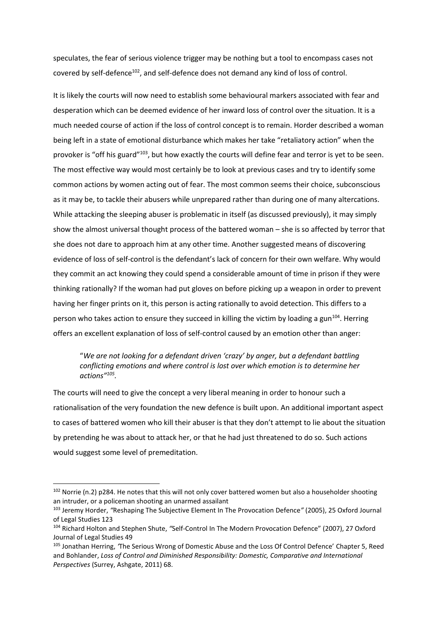speculates, the fear of serious violence trigger may be nothing but a tool to encompass cases not covered by self-defence<sup>102</sup>, and self-defence does not demand any kind of loss of control.

It is likely the courts will now need to establish some behavioural markers associated with fear and desperation which can be deemed evidence of her inward loss of control over the situation. It is a much needed course of action if the loss of control concept is to remain. Horder described a woman being left in a state of emotional disturbance which makes her take "retaliatory action" when the provoker is "off his guard"<sup>103</sup>, but how exactly the courts will define fear and terror is yet to be seen. The most effective way would most certainly be to look at previous cases and try to identify some common actions by women acting out of fear. The most common seems their choice, subconscious as it may be, to tackle their abusers while unprepared rather than during one of many altercations. While attacking the sleeping abuser is problematic in itself (as discussed previously), it may simply show the almost universal thought process of the battered woman – she is so affected by terror that she does not dare to approach him at any other time. Another suggested means of discovering evidence of loss of self-control is the defendant's lack of concern for their own welfare. Why would they commit an act knowing they could spend a considerable amount of time in prison if they were thinking rationally? If the woman had put gloves on before picking up a weapon in order to prevent having her finger prints on it, this person is acting rationally to avoid detection. This differs to a person who takes action to ensure they succeed in killing the victim by loading a gun<sup>104</sup>. Herring offers an excellent explanation of loss of self-control caused by an emotion other than anger:

## "*We are not looking for a defendant driven 'crazy' by anger, but a defendant battling conflicting emotions and where control is lost over which emotion is to determine her actions"<sup>105</sup> .*

The courts will need to give the concept a very liberal meaning in order to honour such a rationalisation of the very foundation the new defence is built upon. An additional important aspect to cases of battered women who kill their abuser is that they don't attempt to lie about the situation by pretending he was about to attack her, or that he had just threatened to do so. Such actions would suggest some level of premeditation.

<sup>102</sup> Norrie (n.2) p284. He notes that this will not only cover battered women but also a householder shooting an intruder, or a policeman shooting an unarmed assailant

<sup>103</sup> Jeremy Horder, *"*Reshaping The Subjective Element In The Provocation Defence*"* (2005), 25 Oxford Journal of Legal Studies 123

<sup>104</sup> Richard Holton and Stephen Shute, *"*Self-Control In The Modern Provocation Defence" (2007), 27 Oxford Journal of Legal Studies 49

<sup>105</sup> Jonathan Herring, *'*The Serious Wrong of Domestic Abuse and the Loss Of Control Defence' Chapter 5, Reed and Bohlander, *Loss of Control and Diminished Responsibility: Domestic, Comparative and International Perspectives* (Surrey, Ashgate, 2011) 68.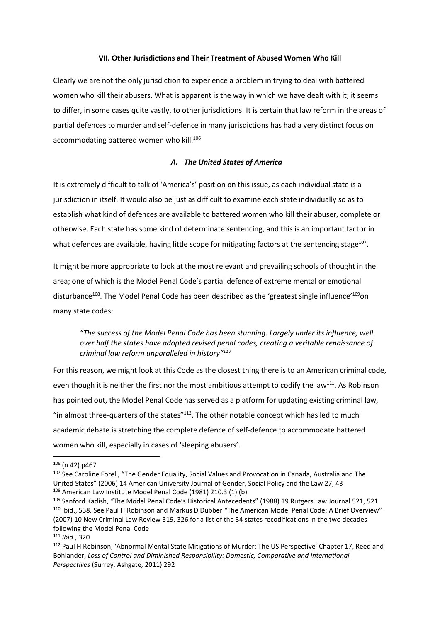#### **VII. Other Jurisdictions and Their Treatment of Abused Women Who Kill**

Clearly we are not the only jurisdiction to experience a problem in trying to deal with battered women who kill their abusers. What is apparent is the way in which we have dealt with it; it seems to differ, in some cases quite vastly, to other jurisdictions. It is certain that law reform in the areas of partial defences to murder and self-defence in many jurisdictions has had a very distinct focus on accommodating battered women who kill.<sup>106</sup>

## *A. The United States of America*

It is extremely difficult to talk of 'America's' position on this issue, as each individual state is a jurisdiction in itself. It would also be just as difficult to examine each state individually so as to establish what kind of defences are available to battered women who kill their abuser, complete or otherwise. Each state has some kind of determinate sentencing, and this is an important factor in what defences are available, having little scope for mitigating factors at the sentencing stage<sup>107</sup>.

It might be more appropriate to look at the most relevant and prevailing schools of thought in the area; one of which is the Model Penal Code's partial defence of extreme mental or emotional disturbance<sup>108</sup>. The Model Penal Code has been described as the 'greatest single influence'<sup>109</sup>on many state codes:

*"The success of the Model Penal Code has been stunning. Largely under its influence, well over half the states have adopted revised penal codes, creating a veritable renaissance of criminal law reform unparalleled in history"<sup>110</sup>*

For this reason, we might look at this Code as the closest thing there is to an American criminal code, even though it is neither the first nor the most ambitious attempt to codify the law<sup>111</sup>. As Robinson has pointed out, the Model Penal Code has served as a platform for updating existing criminal law, "in almost three-quarters of the states" $112$ . The other notable concept which has led to much academic debate is stretching the complete defence of self-defence to accommodate battered women who kill, especially in cases of 'sleeping abusers'.

 $106$  (n.42) p467

<sup>&</sup>lt;sup>107</sup> See Caroline Forell, "The Gender Equality, Social Values and Provocation in Canada, Australia and The United States" (2006) 14 American University Journal of Gender, Social Policy and the Law 27, 43 <sup>108</sup> American Law Institute Model Penal Code (1981) 210.3 (1) (b)

<sup>109</sup> Sanford Kadish, *"*The Model Penal Code's Historical Antecedents" (1988) 19 Rutgers Law Journal 521, 521 <sup>110</sup> Ibid., 538. See Paul H Robinson and Markus D Dubber *"*The American Model Penal Code: A Brief Overview" (2007) 10 New Criminal Law Review 319, 326 for a list of the 34 states recodifications in the two decades following the Model Penal Code

<sup>111</sup> *Ibid*., 320

<sup>112</sup> Paul H Robinson, 'Abnormal Mental State Mitigations of Murder: The US Perspective' Chapter 17, Reed and Bohlander, *Loss of Control and Diminished Responsibility: Domestic, Comparative and International Perspectives* (Surrey, Ashgate, 2011) 292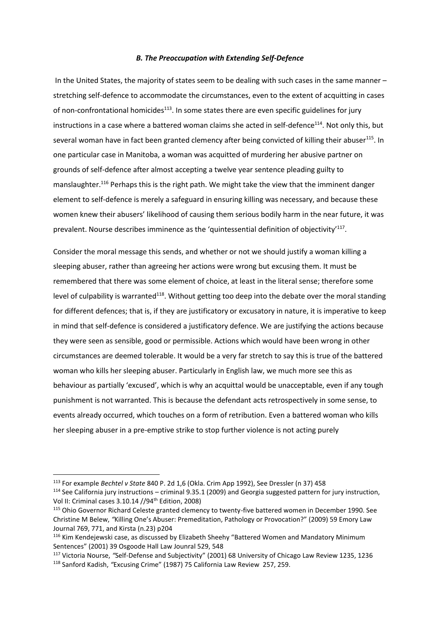#### *B. The Preoccupation with Extending Self-Defence*

In the United States, the majority of states seem to be dealing with such cases in the same manner – stretching self-defence to accommodate the circumstances, even to the extent of acquitting in cases of non-confrontational homicides<sup>113</sup>. In some states there are even specific guidelines for jury instructions in a case where a battered woman claims she acted in self-defence<sup>114</sup>. Not only this, but several woman have in fact been granted clemency after being convicted of killing their abuser<sup>115</sup>. In one particular case in Manitoba, a woman was acquitted of murdering her abusive partner on grounds of self-defence after almost accepting a twelve year sentence pleading guilty to manslaughter.<sup>116</sup> Perhaps this is the right path. We might take the view that the imminent danger element to self-defence is merely a safeguard in ensuring killing was necessary, and because these women knew their abusers' likelihood of causing them serious bodily harm in the near future, it was prevalent. Nourse describes imminence as the 'quintessential definition of objectivity<sup>'117</sup>.

Consider the moral message this sends, and whether or not we should justify a woman killing a sleeping abuser, rather than agreeing her actions were wrong but excusing them. It must be remembered that there was some element of choice, at least in the literal sense; therefore some level of culpability is warranted<sup>118</sup>. Without getting too deep into the debate over the moral standing for different defences; that is, if they are justificatory or excusatory in nature, it is imperative to keep in mind that self-defence is considered a justificatory defence. We are justifying the actions because they were seen as sensible, good or permissible. Actions which would have been wrong in other circumstances are deemed tolerable. It would be a very far stretch to say this is true of the battered woman who kills her sleeping abuser. Particularly in English law, we much more see this as behaviour as partially 'excused', which is why an acquittal would be unacceptable, even if any tough punishment is not warranted. This is because the defendant acts retrospectively in some sense, to events already occurred, which touches on a form of retribution. Even a battered woman who kills her sleeping abuser in a pre-emptive strike to stop further violence is not acting purely

<sup>113</sup> For example *Bechtel v State* 840 P. 2d 1,6 (Okla. Crim App 1992), See Dressler (n 37) 458

<sup>114</sup> See California jury instructions – criminal 9.35.1 (2009) and Georgia suggested pattern for jury instruction, Vol II: Criminal cases 3.10.14 //94th Edition, 2008)

<sup>115</sup> Ohio Governor Richard Celeste granted clemency to twenty-five battered women in December 1990. See Christine M Belew, *"*Killing One's Abuser: Premeditation, Pathology or Provocation?" (2009) 59 Emory Law Journal 769, 771, and Kirsta (n.23) p204

<sup>&</sup>lt;sup>116</sup> Kim Kendejewski case, as discussed by Elizabeth Sheehy "Battered Women and Mandatory Minimum Sentences" (2001) 39 Osgoode Hall Law Jounral 529, 548

<sup>117</sup> Victoria Nourse, *"*Self-Defense and Subjectivity" (2001) 68 University of Chicago Law Review 1235, 1236 <sup>118</sup> Sanford Kadish, *"*Excusing Crime" (1987) 75 California Law Review 257, 259.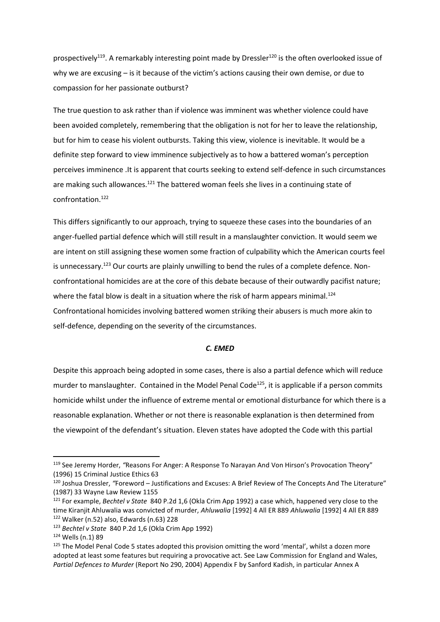prospectively<sup>119</sup>. A remarkably interesting point made by Dressler<sup>120</sup> is the often overlooked issue of why we are excusing – is it because of the victim's actions causing their own demise, or due to compassion for her passionate outburst?

The true question to ask rather than if violence was imminent was whether violence could have been avoided completely, remembering that the obligation is not for her to leave the relationship, but for him to cease his violent outbursts. Taking this view, violence is inevitable. It would be a definite step forward to view imminence subjectively as to how a battered woman's perception perceives imminence .It is apparent that courts seeking to extend self-defence in such circumstances are making such allowances.<sup>121</sup> The battered woman feels she lives in a continuing state of confrontation.<sup>122</sup>

This differs significantly to our approach, trying to squeeze these cases into the boundaries of an anger-fuelled partial defence which will still result in a manslaughter conviction. It would seem we are intent on still assigning these women some fraction of culpability which the American courts feel is unnecessary.<sup>123</sup> Our courts are plainly unwilling to bend the rules of a complete defence. Nonconfrontational homicides are at the core of this debate because of their outwardly pacifist nature; where the fatal blow is dealt in a situation where the risk of harm appears minimal.<sup>124</sup> Confrontational homicides involving battered women striking their abusers is much more akin to self-defence, depending on the severity of the circumstances.

#### *C. EMED*

Despite this approach being adopted in some cases, there is also a partial defence which will reduce murder to manslaughter. Contained in the Model Penal Code<sup>125</sup>, it is applicable if a person commits homicide whilst under the influence of extreme mental or emotional disturbance for which there is a reasonable explanation. Whether or not there is reasonable explanation is then determined from the viewpoint of the defendant's situation. Eleven states have adopted the Code with this partial

<sup>119</sup> See Jeremy Horder, *"*Reasons For Anger: A Response To Narayan And Von Hirson's Provocation Theory" (1996) 15 Criminal Justice Ethics 63

<sup>120</sup> Joshua Dressler, *"*Foreword – Justifications and Excuses: A Brief Review of The Concepts And The Literature" (1987) 33 Wayne Law Review 1155

<sup>121</sup> For example, *Bechtel v State* 840 P.2d 1,6 (Okla Crim App 1992) a case which, happened very close to the time Kiranjit Ahluwalia was convicted of murder, *Ahluwalia* [1992] 4 All ER 889 *Ahluwalia* [1992] 4 All ER 889  $122$  Walker (n.52) also, Edwards (n.63) 228

<sup>123</sup> *Bechtel v State* 840 P.2d 1,6 (Okla Crim App 1992)

<sup>124</sup> Wells (n.1) 89

<sup>&</sup>lt;sup>125</sup> The Model Penal Code 5 states adopted this provision omitting the word 'mental', whilst a dozen more adopted at least some features but requiring a provocative act. See Law Commission for England and Wales, *Partial Defences to Murder* (Report No 290, 2004) Appendix F by Sanford Kadish, in particular Annex A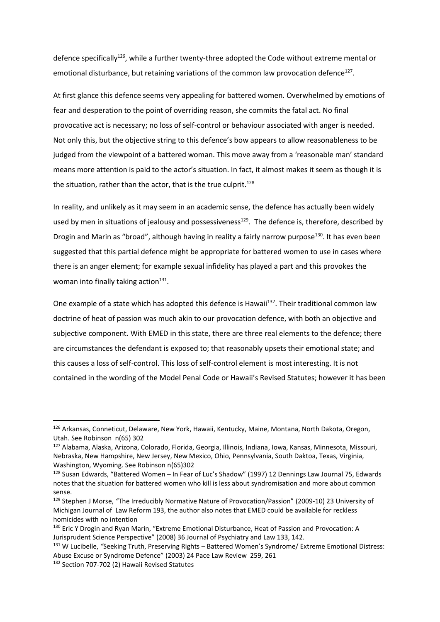defence specifically<sup>126</sup>, while a further twenty-three adopted the Code without extreme mental or emotional disturbance, but retaining variations of the common law provocation defence<sup>127</sup>.

At first glance this defence seems very appealing for battered women. Overwhelmed by emotions of fear and desperation to the point of overriding reason, she commits the fatal act. No final provocative act is necessary; no loss of self-control or behaviour associated with anger is needed. Not only this, but the objective string to this defence's bow appears to allow reasonableness to be judged from the viewpoint of a battered woman. This move away from a 'reasonable man' standard means more attention is paid to the actor's situation. In fact, it almost makes it seem as though it is the situation, rather than the actor, that is the true culprit.<sup>128</sup>

In reality, and unlikely as it may seem in an academic sense, the defence has actually been widely used by men in situations of jealousy and possessiveness<sup>129</sup>. The defence is, therefore, described by Drogin and Marin as "broad", although having in reality a fairly narrow purpose<sup>130</sup>. It has even been suggested that this partial defence might be appropriate for battered women to use in cases where there is an anger element; for example sexual infidelity has played a part and this provokes the woman into finally taking action<sup>131</sup>.

One example of a state which has adopted this defence is Hawaii<sup>132</sup>. Their traditional common law doctrine of heat of passion was much akin to our provocation defence, with both an objective and subjective component. With EMED in this state, there are three real elements to the defence; there are circumstances the defendant is exposed to; that reasonably upsets their emotional state; and this causes a loss of self-control. This loss of self-control element is most interesting. It is not contained in the wording of the Model Penal Code or Hawaii's Revised Statutes; however it has been

<sup>126</sup> Arkansas, Conneticut, Delaware, New York, Hawaii, Kentucky, Maine, Montana, North Dakota, Oregon, Utah. See Robinson n(65) 302

<sup>127</sup> Alabama, Alaska, Arizona, Colorado, Florida, Georgia, Illinois, Indiana, Iowa, Kansas, Minnesota, Missouri, Nebraska, New Hampshire, New Jersey, New Mexico, Ohio, Pennsylvania, South Daktoa, Texas, Virginia, Washington, Wyoming. See Robinson n(65)302

<sup>128</sup> Susan Edwards, "Battered Women – In Fear of Luc's Shadow" (1997) 12 Dennings Law Journal 75, Edwards notes that the situation for battered women who kill is less about syndromisation and more about common sense.

<sup>129</sup> Stephen J Morse, *"*The Irreducibly Normative Nature of Provocation/Passion" (2009-10) 23 University of Michigan Journal of Law Reform 193, the author also notes that EMED could be available for reckless homicides with no intention

<sup>&</sup>lt;sup>130</sup> Eric Y Drogin and Ryan Marin, "Extreme Emotional Disturbance, Heat of Passion and Provocation: A Jurisprudent Science Perspective" (2008) 36 Journal of Psychiatry and Law 133, 142.

<sup>131</sup> W Lucibelle, *"*Seeking Truth, Preserving Rights – Battered Women's Syndrome/ Extreme Emotional Distress: Abuse Excuse or Syndrome Defence" (2003) 24 Pace Law Review 259, 261

<sup>132</sup> Section 707-702 (2) Hawaii Revised Statutes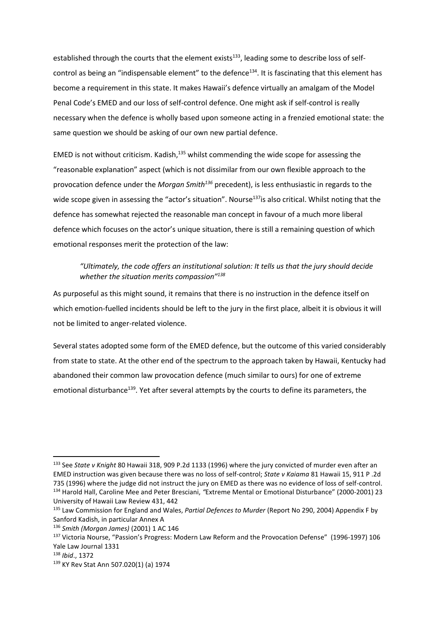established through the courts that the element exists<sup>133</sup>, leading some to describe loss of selfcontrol as being an "indispensable element" to the defence<sup>134</sup>. It is fascinating that this element has become a requirement in this state. It makes Hawaii's defence virtually an amalgam of the Model Penal Code's EMED and our loss of self-control defence. One might ask if self-control is really necessary when the defence is wholly based upon someone acting in a frenzied emotional state: the same question we should be asking of our own new partial defence.

EMED is not without criticism. Kadish, $135$  whilst commending the wide scope for assessing the "reasonable explanation" aspect (which is not dissimilar from our own flexible approach to the provocation defence under the *Morgan Smith<sup>136</sup>* precedent), is less enthusiastic in regards to the wide scope given in assessing the "actor's situation". Nourse<sup>137</sup>is also critical. Whilst noting that the defence has somewhat rejected the reasonable man concept in favour of a much more liberal defence which focuses on the actor's unique situation, there is still a remaining question of which emotional responses merit the protection of the law:

## *"Ultimately, the code offers an institutional solution: It tells us that the jury should decide whether the situation merits compassion"<sup>138</sup>*

As purposeful as this might sound, it remains that there is no instruction in the defence itself on which emotion-fuelled incidents should be left to the jury in the first place, albeit it is obvious it will not be limited to anger-related violence.

Several states adopted some form of the EMED defence, but the outcome of this varied considerably from state to state. At the other end of the spectrum to the approach taken by Hawaii, Kentucky had abandoned their common law provocation defence (much similar to ours) for one of extreme emotional disturbance<sup>139</sup>. Yet after several attempts by the courts to define its parameters, the

<sup>133</sup> See *State v Knight* 80 Hawaii 318, 909 P.2d 1133 (1996) where the jury convicted of murder even after an EMED instruction was given because there was no loss of self-control; *State v Kaiama* 81 Hawaii 15, 911 P .2d 735 (1996) where the judge did not instruct the jury on EMED as there was no evidence of loss of self-control. <sup>134</sup> Harold Hall, Caroline Mee and Peter Bresciani, *"*Extreme Mental or Emotional Disturbance" (2000-2001) 23 University of Hawaii Law Review 431, 442

<sup>135</sup> Law Commission for England and Wales, *Partial Defences to Murder* (Report No 290, 2004) Appendix F by Sanford Kadish, in particular Annex A

<sup>136</sup> *Smith (Morgan James)* (2001) 1 AC 146

<sup>137</sup> Victoria Nourse, "Passion's Progress: Modern Law Reform and the Provocation Defense" (1996-1997) 106 Yale Law Journal 1331

<sup>138</sup> *Ibid*., 1372

<sup>139</sup> KY Rev Stat Ann 507.020(1) (a) 1974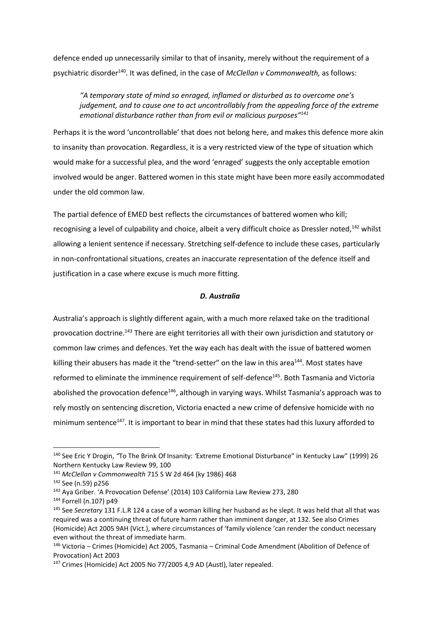defence ended up unnecessarily similar to that of insanity, merely without the requirement of a psychiatric disorder<sup>140</sup>. It was defined, in the case of *McClellan v Commonwealth,* as follows:

*"A temporary state of mind so enraged, inflamed or disturbed as to overcome one's judgement, and to cause one to act uncontrollably from the appealing force of the extreme emotional disturbance rather than from evil or malicious purposes"<sup>141</sup>*

Perhaps it is the word 'uncontrollable' that does not belong here, and makes this defence more akin to insanity than provocation. Regardless, it is a very restricted view of the type of situation which would make for a successful plea, and the word 'enraged' suggests the only acceptable emotion involved would be anger. Battered women in this state might have been more easily accommodated under the old common law.

The partial defence of EMED best reflects the circumstances of battered women who kill; recognising a level of culpability and choice, albeit a very difficult choice as Dressler noted,<sup>142</sup> whilst allowing a lenient sentence if necessary. Stretching self-defence to include these cases, particularly in non-confrontational situations, creates an inaccurate representation of the defence itself and justification in a case where excuse is much more fitting.

#### *D. Australia*

Australia's approach is slightly different again, with a much more relaxed take on the traditional provocation doctrine.<sup>143</sup> There are eight territories all with their own jurisdiction and statutory or common law crimes and defences. Yet the way each has dealt with the issue of battered women killing their abusers has made it the "trend-setter" on the law in this area<sup>144</sup>. Most states have reformed to eliminate the imminence requirement of self-defence<sup>145</sup>. Both Tasmania and Victoria abolished the provocation defence<sup>146</sup>, although in varying ways. Whilst Tasmania's approach was to rely mostly on sentencing discretion, Victoria enacted a new crime of defensive homicide with no minimum sentence<sup>147</sup>. It is important to bear in mind that these states had this luxury afforded to

<sup>140</sup> See Eric Y Drogin, *"*To The Brink Of Insanity: *'*Extreme Emotional Disturbance" in Kentucky Law" (1999) 26 Northern Kentucky Law Review 99, 100

<sup>141</sup> *McClellan v Commonwealth* 715 S W 2d 464 (ky 1986) 468

<sup>142</sup> See (n.59) p256

<sup>143</sup> Aya Griber. 'A Provocation Defense' (2014) 103 California Law Review 273, 280

<sup>144</sup> Forrell (n.107) p49

<sup>145</sup> See *Secretary* 131 F.L.R 124 a case of a woman killing her husband as he slept. It was held that all that was required was a continuing threat of future harm rather than imminent danger, at 132. See also Crimes (Homicide) Act 2005 9AH (Vict.), where circumstances of 'family violence 'can render the conduct necessary even without the threat of immediate harm.

<sup>146</sup> Victoria – Crimes (Homicide) Act 2005, Tasmania – Criminal Code Amendment (Abolition of Defence of Provocation) Act 2003

<sup>&</sup>lt;sup>147</sup> Crimes (Homicide) Act 2005 No 77/2005 4.9 AD (Austl), later repealed.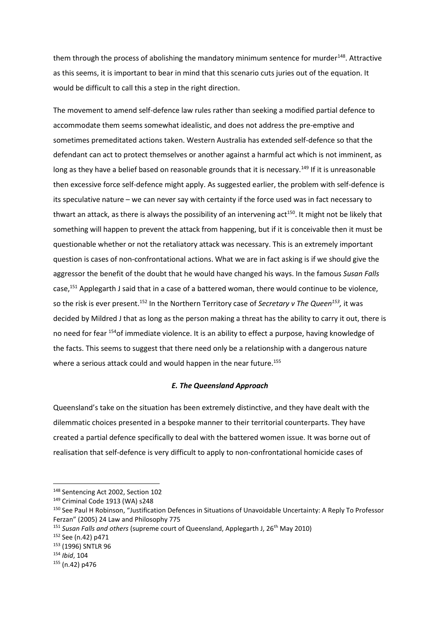them through the process of abolishing the mandatory minimum sentence for murder<sup>148</sup>. Attractive as this seems, it is important to bear in mind that this scenario cuts juries out of the equation. It would be difficult to call this a step in the right direction.

The movement to amend self-defence law rules rather than seeking a modified partial defence to accommodate them seems somewhat idealistic, and does not address the pre-emptive and sometimes premeditated actions taken. Western Australia has extended self-defence so that the defendant can act to protect themselves or another against a harmful act which is not imminent, as long as they have a belief based on reasonable grounds that it is necessary.<sup>149</sup> If it is unreasonable then excessive force self-defence might apply. As suggested earlier, the problem with self-defence is its speculative nature – we can never say with certainty if the force used was in fact necessary to thwart an attack, as there is always the possibility of an intervening act<sup>150</sup>. It might not be likely that something will happen to prevent the attack from happening, but if it is conceivable then it must be questionable whether or not the retaliatory attack was necessary. This is an extremely important question is cases of non-confrontational actions. What we are in fact asking is if we should give the aggressor the benefit of the doubt that he would have changed his ways. In the famous *Susan Falls* case,<sup>151</sup> Applegarth J said that in a case of a battered woman, there would continue to be violence, so the risk is ever present.<sup>152</sup> In the Northern Territory case of *Secretary v The Queen<sup>153</sup>,* it was decided by Mildred J that as long as the person making a threat has the ability to carry it out, there is no need for fear <sup>154</sup>of immediate violence. It is an ability to effect a purpose, having knowledge of the facts. This seems to suggest that there need only be a relationship with a dangerous nature where a serious attack could and would happen in the near future.<sup>155</sup>

#### *E. The Queensland Approach*

Queensland's take on the situation has been extremely distinctive, and they have dealt with the dilemmatic choices presented in a bespoke manner to their territorial counterparts. They have created a partial defence specifically to deal with the battered women issue. It was borne out of realisation that self-defence is very difficult to apply to non-confrontational homicide cases of

<sup>148</sup> Sentencing Act 2002, Section 102

<sup>149</sup> Criminal Code 1913 (WA) s248

<sup>&</sup>lt;sup>150</sup> See Paul H Robinson, "Justification Defences in Situations of Unavoidable Uncertainty: A Reply To Professor Ferzan" (2005) 24 Law and Philosophy 775

<sup>&</sup>lt;sup>151</sup> *Susan Falls and others* (supreme court of Queensland, Applegarth J, 26<sup>th</sup> May 2010)

<sup>152</sup> See (n.42) p471

<sup>153</sup> (1996) SNTLR 96

<sup>154</sup> *Ibid*, 104

 $155 (n.42) n476$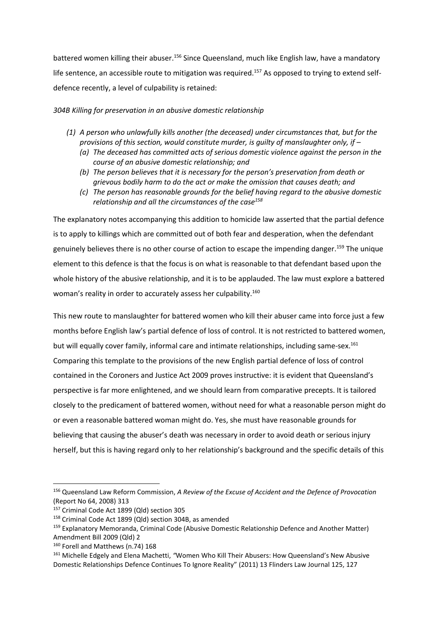battered women killing their abuser.<sup>156</sup> Since Queensland, much like English law, have a mandatory life sentence, an accessible route to mitigation was required.<sup>157</sup> As opposed to trying to extend selfdefence recently, a level of culpability is retained:

*304B Killing for preservation in an abusive domestic relationship*

- *(1) A person who unlawfully kills another (the deceased) under circumstances that, but for the provisions of this section, would constitute murder, is guilty of manslaughter only, if –*
	- *(a) The deceased has committed acts of serious domestic violence against the person in the course of an abusive domestic relationship; and*
	- *(b) The person believes that it is necessary for the person's preservation from death or grievous bodily harm to do the act or make the omission that causes death; and*
	- *(c) The person has reasonable grounds for the belief having regard to the abusive domestic relationship and all the circumstances of the case<sup>158</sup>*

The explanatory notes accompanying this addition to homicide law asserted that the partial defence is to apply to killings which are committed out of both fear and desperation, when the defendant genuinely believes there is no other course of action to escape the impending danger.<sup>159</sup> The unique element to this defence is that the focus is on what is reasonable to that defendant based upon the whole history of the abusive relationship, and it is to be applauded. The law must explore a battered woman's reality in order to accurately assess her culpability.<sup>160</sup>

This new route to manslaughter for battered women who kill their abuser came into force just a few months before English law's partial defence of loss of control. It is not restricted to battered women, but will equally cover family, informal care and intimate relationships, including same-sex.<sup>161</sup> Comparing this template to the provisions of the new English partial defence of loss of control contained in the Coroners and Justice Act 2009 proves instructive: it is evident that Queensland's perspective is far more enlightened, and we should learn from comparative precepts. It is tailored closely to the predicament of battered women, without need for what a reasonable person might do or even a reasonable battered woman might do. Yes, she must have reasonable grounds for believing that causing the abuser's death was necessary in order to avoid death or serious injury herself, but this is having regard only to her relationship's background and the specific details of this

<sup>156</sup> Queensland Law Reform Commission, *A Review of the Excuse of Accident and the Defence of Provocation*  (Report No 64, 2008) 313

<sup>157</sup> Criminal Code Act 1899 (Qld) section 305

<sup>158</sup> Criminal Code Act 1899 (Qld) section 304B, as amended

<sup>&</sup>lt;sup>159</sup> Explanatory Memoranda, Criminal Code (Abusive Domestic Relationship Defence and Another Matter) Amendment Bill 2009 (Qld) 2

<sup>160</sup> Forell and Matthews (n.74) 168

<sup>161</sup> Michelle Edgely and Elena Machetti, *"*Women Who Kill Their Abusers: How Queensland's New Abusive Domestic Relationships Defence Continues To Ignore Reality" (2011) 13 Flinders Law Journal 125, 127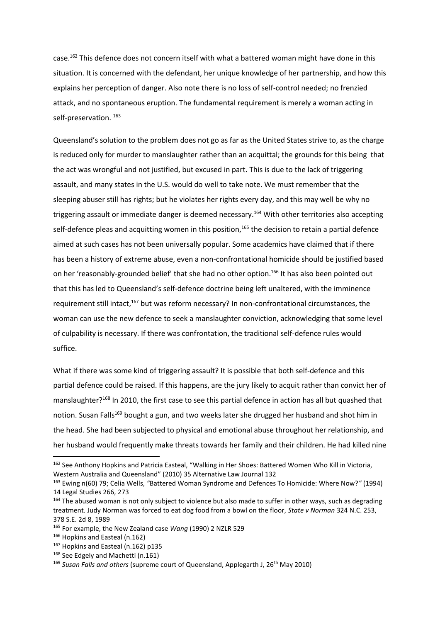case.<sup>162</sup> This defence does not concern itself with what a battered woman might have done in this situation. It is concerned with the defendant, her unique knowledge of her partnership, and how this explains her perception of danger. Also note there is no loss of self-control needed; no frenzied attack, and no spontaneous eruption. The fundamental requirement is merely a woman acting in self-preservation.<sup>163</sup>

Queensland's solution to the problem does not go as far as the United States strive to, as the charge is reduced only for murder to manslaughter rather than an acquittal; the grounds for this being that the act was wrongful and not justified, but excused in part. This is due to the lack of triggering assault, and many states in the U.S. would do well to take note. We must remember that the sleeping abuser still has rights; but he violates her rights every day, and this may well be why no triggering assault or immediate danger is deemed necessary.<sup>164</sup> With other territories also accepting self-defence pleas and acquitting women in this position,<sup>165</sup> the decision to retain a partial defence aimed at such cases has not been universally popular. Some academics have claimed that if there has been a history of extreme abuse, even a non-confrontational homicide should be justified based on her 'reasonably-grounded belief' that she had no other option.<sup>166</sup> It has also been pointed out that this has led to Queensland's self-defence doctrine being left unaltered, with the imminence requirement still intact,<sup>167</sup> but was reform necessary? In non-confrontational circumstances, the woman can use the new defence to seek a manslaughter conviction, acknowledging that some level of culpability is necessary. If there was confrontation, the traditional self-defence rules would suffice.

What if there was some kind of triggering assault? It is possible that both self-defence and this partial defence could be raised. If this happens, are the jury likely to acquit rather than convict her of manslaughter?<sup>168</sup> In 2010, the first case to see this partial defence in action has all but quashed that notion. Susan Falls<sup>169</sup> bought a gun, and two weeks later she drugged her husband and shot him in the head. She had been subjected to physical and emotional abuse throughout her relationship, and her husband would frequently make threats towards her family and their children. He had killed nine

<sup>&</sup>lt;sup>162</sup> See Anthony Hopkins and Patricia Easteal, "Walking in Her Shoes: Battered Women Who Kill in Victoria, Western Australia and Queensland" (2010) 35 Alternative Law Journal 132

<sup>163</sup> Ewing n(60) 79; Celia Wells, *"*Battered Woman Syndrome and Defences To Homicide: Where Now?*"* (1994) 14 Legal Studies 266, 273

<sup>&</sup>lt;sup>164</sup> The abused woman is not only subject to violence but also made to suffer in other ways, such as degrading treatment. Judy Norman was forced to eat dog food from a bowl on the floor, *State v Norman* 324 N.C. 253, 378 S.E. 2d 8, 1989

<sup>165</sup> For example, the New Zealand case *Wang* (1990) 2 NZLR 529

<sup>166</sup> Hopkins and Easteal (n.162)

<sup>167</sup> Hopkins and Easteal (n.162) p135

<sup>168</sup> See Edgely and Machetti (n.161)

<sup>169</sup> *Susan Falls and others* (supreme court of Queensland, Applegarth J, 26th May 2010)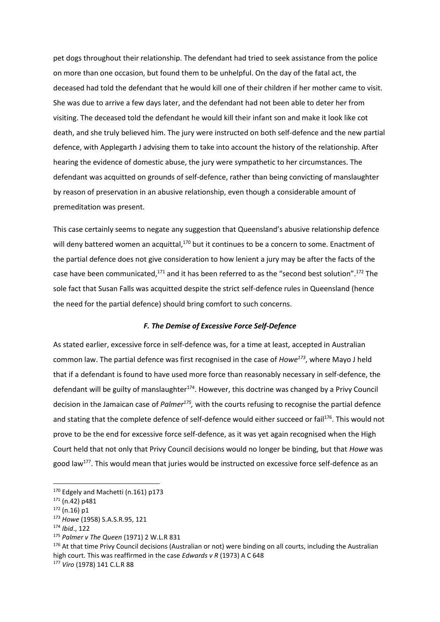pet dogs throughout their relationship. The defendant had tried to seek assistance from the police on more than one occasion, but found them to be unhelpful. On the day of the fatal act, the deceased had told the defendant that he would kill one of their children if her mother came to visit. She was due to arrive a few days later, and the defendant had not been able to deter her from visiting. The deceased told the defendant he would kill their infant son and make it look like cot death, and she truly believed him. The jury were instructed on both self-defence and the new partial defence, with Applegarth J advising them to take into account the history of the relationship. After hearing the evidence of domestic abuse, the jury were sympathetic to her circumstances. The defendant was acquitted on grounds of self-defence, rather than being convicting of manslaughter by reason of preservation in an abusive relationship, even though a considerable amount of premeditation was present.

This case certainly seems to negate any suggestion that Queensland's abusive relationship defence will deny battered women an acquittal,<sup>170</sup> but it continues to be a concern to some. Enactment of the partial defence does not give consideration to how lenient a jury may be after the facts of the case have been communicated,<sup>171</sup> and it has been referred to as the "second best solution".<sup>172</sup> The sole fact that Susan Falls was acquitted despite the strict self-defence rules in Queensland (hence the need for the partial defence) should bring comfort to such concerns.

#### *F. The Demise of Excessive Force Self-Defence*

As stated earlier, excessive force in self-defence was, for a time at least, accepted in Australian common law. The partial defence was first recognised in the case of *Howe<sup>173</sup>*, where Mayo J held that if a defendant is found to have used more force than reasonably necessary in self-defence, the defendant will be guilty of manslaughter $174$ . However, this doctrine was changed by a Privy Council decision in the Jamaican case of *Palmer<sup>175</sup>*, with the courts refusing to recognise the partial defence and stating that the complete defence of self-defence would either succeed or fail<sup>176</sup>. This would not prove to be the end for excessive force self-defence, as it was yet again recognised when the High Court held that not only that Privy Council decisions would no longer be binding, but that *Howe* was good law<sup>177</sup>. This would mean that juries would be instructed on excessive force self-defence as an

1

<sup>173</sup> *Howe* (1958) S.A.S.R.95, 121

<sup>&</sup>lt;sup>170</sup> Edgely and Machetti (n.161) p173

<sup>171</sup> (n.42) p481

 $172$  (n.16) p1

<sup>174</sup> *Ibid*., 122

<sup>175</sup> *Palmer v The Queen* (1971) 2 W.L.R 831

<sup>176</sup> At that time Privy Council decisions (Australian or not) were binding on all courts, including the Australian high court. This was reaffirmed in the case *Edwards v R* (1973) A C 648

<sup>177</sup> *Viro* (1978) 141 C.L.R 88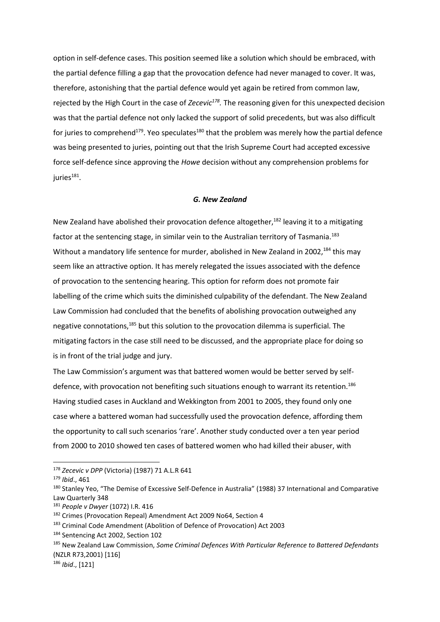option in self-defence cases. This position seemed like a solution which should be embraced, with the partial defence filling a gap that the provocation defence had never managed to cover. It was, therefore, astonishing that the partial defence would yet again be retired from common law, rejected by the High Court in the case of *Zecevic<sup>178</sup> .* The reasoning given for this unexpected decision was that the partial defence not only lacked the support of solid precedents, but was also difficult for juries to comprehend<sup>179</sup>. Yeo speculates<sup>180</sup> that the problem was merely how the partial defence was being presented to juries, pointing out that the Irish Supreme Court had accepted excessive force self-defence since approving the *Howe* decision without any comprehension problems for juries $^{181}.$ 

#### *G. New Zealand*

New Zealand have abolished their provocation defence altogether, $182$  leaving it to a mitigating factor at the sentencing stage, in similar vein to the Australian territory of Tasmania.<sup>183</sup> Without a mandatory life sentence for murder, abolished in New Zealand in 2002,<sup>184</sup> this may seem like an attractive option. It has merely relegated the issues associated with the defence of provocation to the sentencing hearing. This option for reform does not promote fair labelling of the crime which suits the diminished culpability of the defendant. The New Zealand Law Commission had concluded that the benefits of abolishing provocation outweighed any negative connotations,<sup>185</sup> but this solution to the provocation dilemma is superficial. The mitigating factors in the case still need to be discussed, and the appropriate place for doing so is in front of the trial judge and jury.

The Law Commission's argument was that battered women would be better served by selfdefence, with provocation not benefiting such situations enough to warrant its retention.<sup>186</sup> Having studied cases in Auckland and Wekkington from 2001 to 2005, they found only one case where a battered woman had successfully used the provocation defence, affording them the opportunity to call such scenarios 'rare'. Another study conducted over a ten year period from 2000 to 2010 showed ten cases of battered women who had killed their abuser, with

<sup>178</sup> *Zecevic v DPP* (Victoria) (1987) 71 A.L.R 641

<sup>179</sup> *Ibid*., 461

<sup>180</sup> Stanley Yeo, "The Demise of Excessive Self-Defence in Australia" (1988) 37 International and Comparative Law Quarterly 348

<sup>181</sup> *People v Dwyer* (1072) I.R. 416

<sup>182</sup> Crimes (Provocation Repeal) Amendment Act 2009 No64, Section 4

<sup>183</sup> Criminal Code Amendment (Abolition of Defence of Provocation) Act 2003

<sup>184</sup> Sentencing Act 2002, Section 102

<sup>185</sup> New Zealand Law Commission, *Some Criminal Defences With Particular Reference to Battered Defendants*  (NZLR R73,2001) [116]

<sup>186</sup> *Ibid*., [121]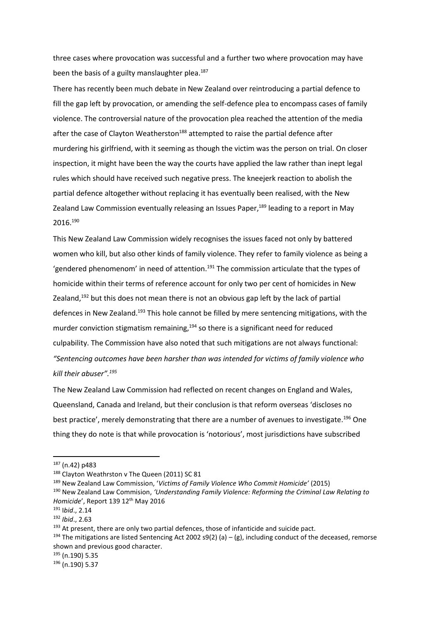three cases where provocation was successful and a further two where provocation may have been the basis of a guilty manslaughter plea.<sup>187</sup>

There has recently been much debate in New Zealand over reintroducing a partial defence to fill the gap left by provocation, or amending the self-defence plea to encompass cases of family violence. The controversial nature of the provocation plea reached the attention of the media after the case of Clayton Weatherston<sup>188</sup> attempted to raise the partial defence after murdering his girlfriend, with it seeming as though the victim was the person on trial. On closer inspection, it might have been the way the courts have applied the law rather than inept legal rules which should have received such negative press. The kneejerk reaction to abolish the partial defence altogether without replacing it has eventually been realised, with the New Zealand Law Commission eventually releasing an Issues Paper,<sup>189</sup> leading to a report in May 2016.<sup>190</sup>

This New Zealand Law Commission widely recognises the issues faced not only by battered women who kill, but also other kinds of family violence. They refer to family violence as being a 'gendered phenomenom' in need of attention.<sup>191</sup> The commission articulate that the types of homicide within their terms of reference account for only two per cent of homicides in New Zealand, $192$  but this does not mean there is not an obvious gap left by the lack of partial defences in New Zealand.<sup>193</sup> This hole cannot be filled by mere sentencing mitigations, with the murder conviction stigmatism remaining, $194$  so there is a significant need for reduced culpability. The Commission have also noted that such mitigations are not always functional: *"Sentencing outcomes have been harsher than was intended for victims of family violence who kill their abuser".<sup>195</sup>*

The New Zealand Law Commission had reflected on recent changes on England and Wales, Queensland, Canada and Ireland, but their conclusion is that reform overseas 'discloses no best practice', merely demonstrating that there are a number of avenues to investigate.<sup>196</sup> One thing they do note is that while provocation is 'notorious', most jurisdictions have subscribed

 $187$  (n.42) p483

<sup>188</sup> Clayton Weathrston v The Queen (2011) SC 81

<sup>189</sup> New Zealand Law Commission, '*Victims of Family Violence Who Commit Homicide'* (2015)

<sup>190</sup> New Zealand Law Commision, *'Understanding Family Violence: Reforming the Criminal Law Relating to Homicide'*, Report 139 12<sup>th</sup> May 2016

<sup>191</sup> I*bid*., 2.14

<sup>192</sup> *Ibid*., 2.63

 $193$  At present, there are only two partial defences, those of infanticide and suicide pact.

<sup>&</sup>lt;sup>194</sup> The mitigations are listed Sentencing Act 2002 s9(2) (a) – (g), including conduct of the deceased, remorse shown and previous good character.

<sup>195</sup> (n.190) 5.35

<sup>196</sup> (n.190) 5.37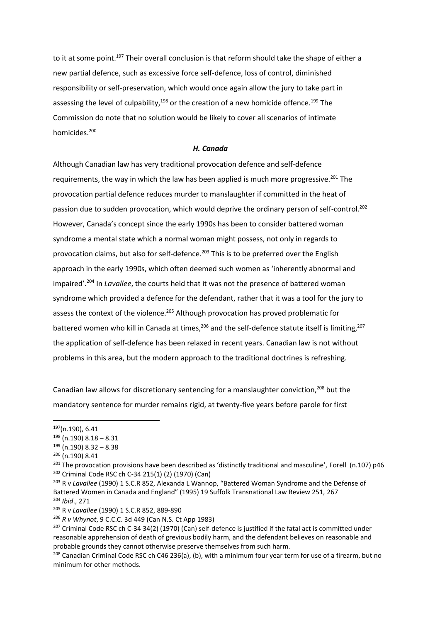to it at some point.<sup>197</sup> Their overall conclusion is that reform should take the shape of either a new partial defence, such as excessive force self-defence, loss of control, diminished responsibility or self-preservation, which would once again allow the jury to take part in assessing the level of culpability, $198$  or the creation of a new homicide offence.<sup>199</sup> The Commission do note that no solution would be likely to cover all scenarios of intimate homicides.<sup>200</sup>

#### *H. Canada*

Although Canadian law has very traditional provocation defence and self-defence requirements, the way in which the law has been applied is much more progressive.<sup>201</sup> The provocation partial defence reduces murder to manslaughter if committed in the heat of passion due to sudden provocation, which would deprive the ordinary person of self-control.<sup>202</sup> However, Canada's concept since the early 1990s has been to consider battered woman syndrome a mental state which a normal woman might possess, not only in regards to provocation claims, but also for self-defence.<sup>203</sup> This is to be preferred over the English approach in the early 1990s, which often deemed such women as 'inherently abnormal and impaired'.<sup>204</sup> In *Lavallee*, the courts held that it was not the presence of battered woman syndrome which provided a defence for the defendant, rather that it was a tool for the jury to assess the context of the violence.<sup>205</sup> Although provocation has proved problematic for battered women who kill in Canada at times,<sup>206</sup> and the self-defence statute itself is limiting,<sup>207</sup> the application of self-defence has been relaxed in recent years. Canadian law is not without problems in this area, but the modern approach to the traditional doctrines is refreshing.

Canadian law allows for discretionary sentencing for a manslaughter conviction,<sup>208</sup> but the mandatory sentence for murder remains rigid, at twenty-five years before parole for first

1

<sup>204</sup> *Ibid*., 271

<sup>197</sup>(n.190), 6.41

 $198$  (n.190)  $8.18 - 8.31$ 

<sup>199</sup> (n.190) 8.32 – 8.38

<sup>200</sup> (n.190) 8.41

 $^{201}$  The provocation provisions have been described as 'distinctly traditional and masculine', Forell (n.107) p46 <sup>202</sup> Criminal Code RSC ch C-34 215(1) (2) (1970) (Can)

<sup>203</sup> R v *Lavallee* (1990) 1 S.C.R 852, Alexanda L Wannop, "Battered Woman Syndrome and the Defense of Battered Women in Canada and England" (1995) 19 Suffolk Transnational Law Review 251, 267

<sup>205</sup> R v *Lavallee* (1990) 1 S.C.R 852, 889-890

<sup>206</sup> *R v Whynot*, 9 C.C.C. 3d 449 (Can N.S. Ct App 1983)

 $207$  Criminal Code RSC ch C-34 34(2) (1970) (Can) self-defence is justified if the fatal act is committed under reasonable apprehension of death of grevious bodily harm, and the defendant believes on reasonable and probable grounds they cannot otherwise preserve themselves from such harm.

<sup>208</sup> Canadian Criminal Code RSC ch C46 236(a), (b), with a minimum four year term for use of a firearm, but no minimum for other methods.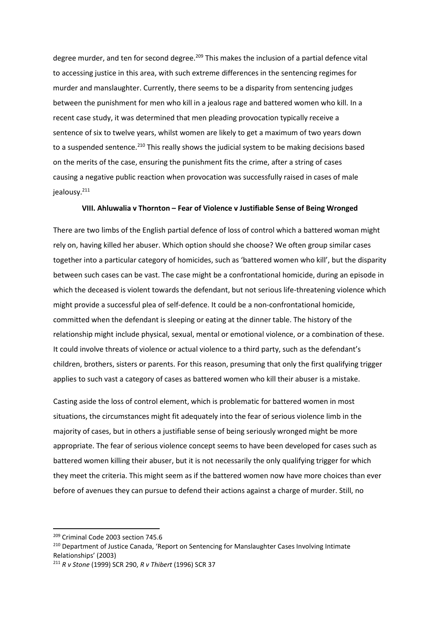degree murder, and ten for second degree.<sup>209</sup> This makes the inclusion of a partial defence vital to accessing justice in this area, with such extreme differences in the sentencing regimes for murder and manslaughter. Currently, there seems to be a disparity from sentencing judges between the punishment for men who kill in a jealous rage and battered women who kill. In a recent case study, it was determined that men pleading provocation typically receive a sentence of six to twelve years, whilst women are likely to get a maximum of two years down to a suspended sentence.<sup>210</sup> This really shows the judicial system to be making decisions based on the merits of the case, ensuring the punishment fits the crime, after a string of cases causing a negative public reaction when provocation was successfully raised in cases of male jealousy.<sup>211</sup>

#### **VIII. Ahluwalia v Thornton – Fear of Violence v Justifiable Sense of Being Wronged**

There are two limbs of the English partial defence of loss of control which a battered woman might rely on, having killed her abuser. Which option should she choose? We often group similar cases together into a particular category of homicides, such as 'battered women who kill', but the disparity between such cases can be vast. The case might be a confrontational homicide, during an episode in which the deceased is violent towards the defendant, but not serious life-threatening violence which might provide a successful plea of self-defence. It could be a non-confrontational homicide, committed when the defendant is sleeping or eating at the dinner table. The history of the relationship might include physical, sexual, mental or emotional violence, or a combination of these. It could involve threats of violence or actual violence to a third party, such as the defendant's children, brothers, sisters or parents. For this reason, presuming that only the first qualifying trigger applies to such vast a category of cases as battered women who kill their abuser is a mistake.

Casting aside the loss of control element, which is problematic for battered women in most situations, the circumstances might fit adequately into the fear of serious violence limb in the majority of cases, but in others a justifiable sense of being seriously wronged might be more appropriate. The fear of serious violence concept seems to have been developed for cases such as battered women killing their abuser, but it is not necessarily the only qualifying trigger for which they meet the criteria. This might seem as if the battered women now have more choices than ever before of avenues they can pursue to defend their actions against a charge of murder. Still, no

<sup>209</sup> Criminal Code 2003 section 745.6

<sup>&</sup>lt;sup>210</sup> Department of Justice Canada, 'Report on Sentencing for Manslaughter Cases Involving Intimate Relationships' (2003)

<sup>211</sup> *R v Stone* (1999) SCR 290, *R v Thibert* (1996) SCR 37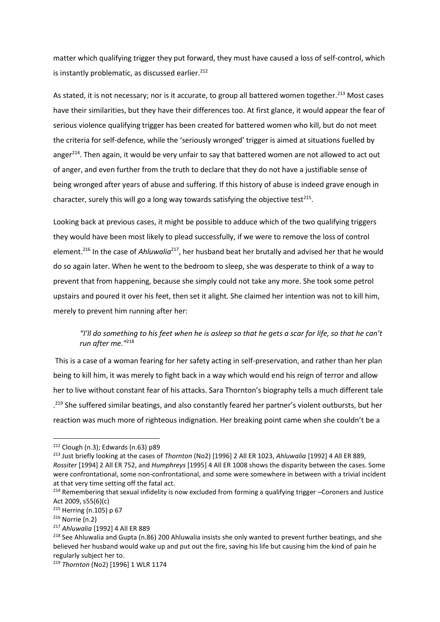matter which qualifying trigger they put forward, they must have caused a loss of self-control, which is instantly problematic, as discussed earlier.<sup>212</sup>

As stated, it is not necessary; nor is it accurate, to group all battered women together.<sup>213</sup> Most cases have their similarities, but they have their differences too. At first glance, it would appear the fear of serious violence qualifying trigger has been created for battered women who kill, but do not meet the criteria for self-defence, while the 'seriously wronged' trigger is aimed at situations fuelled by anger<sup>214</sup>. Then again, it would be very unfair to say that battered women are not allowed to act out of anger, and even further from the truth to declare that they do not have a justifiable sense of being wronged after years of abuse and suffering. If this history of abuse is indeed grave enough in character, surely this will go a long way towards satisfying the objective test<sup>215</sup>.

Looking back at previous cases, it might be possible to adduce which of the two qualifying triggers they would have been most likely to plead successfully, if we were to remove the loss of control element.<sup>216</sup> In the case of *Ahluwalia*<sup>217</sup>, her husband beat her brutally and advised her that he would do so again later. When he went to the bedroom to sleep, she was desperate to think of a way to prevent that from happening, because she simply could not take any more. She took some petrol upstairs and poured it over his feet, then set it alight. She claimed her intention was not to kill him, merely to prevent him running after her:

## *"I'll do something to his feet when he is asleep so that he gets a scar for life, so that he can't run after me."*<sup>218</sup>

This is a case of a woman fearing for her safety acting in self-preservation, and rather than her plan being to kill him, it was merely to fight back in a way which would end his reign of terror and allow her to live without constant fear of his attacks. Sara Thornton's biography tells a much different tale .<sup>219</sup> She suffered similar beatings, and also constantly feared her partner's violent outbursts, but her reaction was much more of righteous indignation. Her breaking point came when she couldn't be a

 $212$  Clough (n.3); Edwards (n.63) p89

<sup>213</sup> Just briefly looking at the cases of *Thornton* (No2) [1996] 2 All ER 1023, *Ahluwalia* [1992] 4 All ER 889, *Rossiter* [1994] 2 All ER 752, and *Humphreys* [1995] 4 All ER 1008 shows the disparity between the cases. Some were confrontational, some non-confrontational, and some were somewhere in between with a trivial incident at that very time setting off the fatal act.

<sup>&</sup>lt;sup>214</sup> Remembering that sexual infidelity is now excluded from forming a qualifying trigger –Coroners and Justice Act 2009, s55(6)(c)

 $215$  Herring (n.105) p 67

<sup>216</sup> Norrie (n.2)

<sup>217</sup> *Ahluwalia* [1992] 4 All ER 889

<sup>&</sup>lt;sup>218</sup> See Ahluwalia and Gupta (n.86) 200 Ahluwalia insists she only wanted to prevent further beatings, and she believed her husband would wake up and put out the fire, saving his life but causing him the kind of pain he regularly subject her to.

<sup>219</sup> *Thornton* (No2) [1996] 1 WLR 1174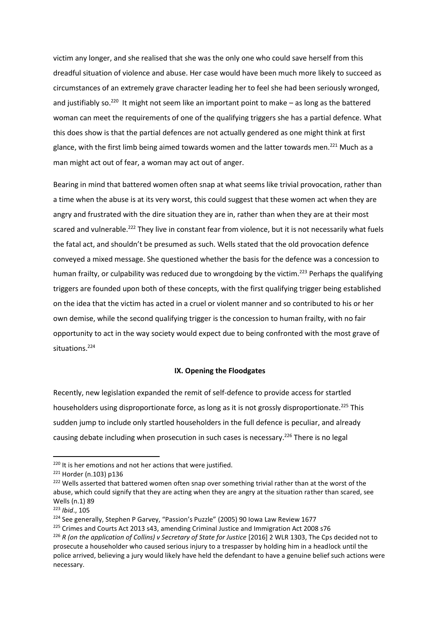victim any longer, and she realised that she was the only one who could save herself from this dreadful situation of violence and abuse. Her case would have been much more likely to succeed as circumstances of an extremely grave character leading her to feel she had been seriously wronged, and justifiably so.<sup>220</sup> It might not seem like an important point to make  $-$  as long as the battered woman can meet the requirements of one of the qualifying triggers she has a partial defence. What this does show is that the partial defences are not actually gendered as one might think at first glance, with the first limb being aimed towards women and the latter towards men.<sup>221</sup> Much as a man might act out of fear, a woman may act out of anger.

Bearing in mind that battered women often snap at what seems like trivial provocation, rather than a time when the abuse is at its very worst, this could suggest that these women act when they are angry and frustrated with the dire situation they are in, rather than when they are at their most scared and vulnerable.<sup>222</sup> They live in constant fear from violence, but it is not necessarily what fuels the fatal act, and shouldn't be presumed as such. Wells stated that the old provocation defence conveyed a mixed message. She questioned whether the basis for the defence was a concession to human frailty, or culpability was reduced due to wrongdoing by the victim.<sup>223</sup> Perhaps the qualifying triggers are founded upon both of these concepts, with the first qualifying trigger being established on the idea that the victim has acted in a cruel or violent manner and so contributed to his or her own demise, while the second qualifying trigger is the concession to human frailty, with no fair opportunity to act in the way society would expect due to being confronted with the most grave of situations.<sup>224</sup>

#### **IX. Opening the Floodgates**

Recently, new legislation expanded the remit of self-defence to provide access for startled householders using disproportionate force, as long as it is not grossly disproportionate.<sup>225</sup> This sudden jump to include only startled householders in the full defence is peculiar, and already causing debate including when prosecution in such cases is necessary.<sup>226</sup> There is no legal

<sup>&</sup>lt;sup>220</sup> It is her emotions and not her actions that were justified.

<sup>221</sup> Horder (n.103) p136

<sup>&</sup>lt;sup>222</sup> Wells asserted that battered women often snap over something trivial rather than at the worst of the abuse, which could signify that they are acting when they are angry at the situation rather than scared, see Wells (n.1) 89

<sup>223</sup> *Ibid*., 105

<sup>&</sup>lt;sup>224</sup> See generally, Stephen P Garvey, "Passion's Puzzle" (2005) 90 Iowa Law Review 1677

<sup>&</sup>lt;sup>225</sup> Crimes and Courts Act 2013 s43, amending Criminal Justice and Immigration Act 2008 s76

<sup>&</sup>lt;sup>226</sup> *R* (on the application of Collins) v Secretary of State for Justice [2016] 2 WLR 1303, The Cps decided not to prosecute a householder who caused serious injury to a trespasser by holding him in a headlock until the police arrived, believing a jury would likely have held the defendant to have a genuine belief such actions were necessary.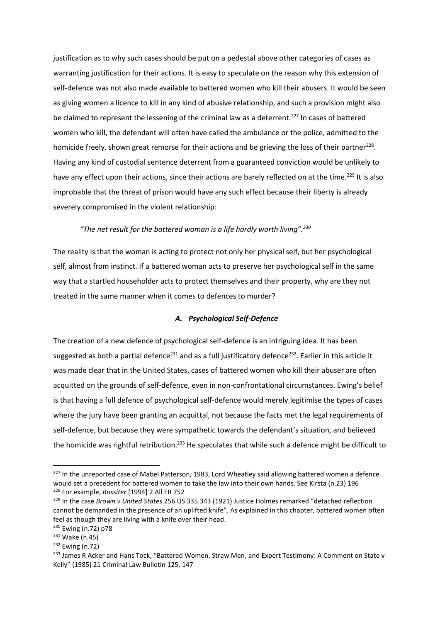justification as to why such cases should be put on a pedestal above other categories of cases as warranting justification for their actions. It is easy to speculate on the reason why this extension of self-defence was not also made available to battered women who kill their abusers. It would be seen as giving women a licence to kill in any kind of abusive relationship, and such a provision might also be claimed to represent the lessening of the criminal law as a deterrent.<sup>227</sup> In cases of battered women who kill, the defendant will often have called the ambulance or the police, admitted to the homicide freely, shown great remorse for their actions and be grieving the loss of their partner<sup>228</sup>. Having any kind of custodial sentence deterrent from a guaranteed conviction would be unlikely to have any effect upon their actions, since their actions are barely reflected on at the time.<sup>229</sup> It is also improbable that the threat of prison would have any such effect because their liberty is already severely compromised in the violent relationship:

## *"The net result for the battered woman is a life hardly worth living".<sup>230</sup>*

The reality is that the woman is acting to protect not only her physical self, but her psychological self, almost from instinct. If a battered woman acts to preserve her psychological self in the same way that a startled householder acts to protect themselves and their property, why are they not treated in the same manner when it comes to defences to murder?

## *A. Psychological Self-Defence*

The creation of a new defence of psychological self-defence is an intriguing idea. It has been suggested as both a partial defence<sup>231</sup> and as a full justificatory defence<sup>232</sup>. Earlier in this article it was made clear that in the United States, cases of battered women who kill their abuser are often acquitted on the grounds of self-defence, even in non-confrontational circumstances. Ewing's belief is that having a full defence of psychological self-defence would merely legitimise the types of cases where the jury have been granting an acquittal, not because the facts met the legal requirements of self-defence, but because they were sympathetic towards the defendant's situation, and believed the homicide was rightful retribution.<sup>233</sup> He speculates that while such a defence might be difficult to

<sup>&</sup>lt;sup>227</sup> In the unreported case of Mabel Patterson, 1983, Lord Wheatley said allowing battered women a defence would set a precedent for battered women to take the law into their own hands. See Kirsta (n.23) 196 <sup>228</sup> For example, *Rossiter* [1994] 2 All ER 752

<sup>229</sup> In the case *Brown v United States* 256 US 335.343 (1921) Justice Holmes remarked "detached reflection cannot be demanded in the presence of an uplifted knife". As explained in this chapter, battered women often feel as though they are living with a knife over their head.

<sup>230</sup> Ewing (n.72) p78

<sup>231</sup> Wake (n.45)

<sup>232</sup> Ewing (n.72)

<sup>&</sup>lt;sup>233</sup> James R Acker and Hans Tock, "Battered Women, Straw Men, and Expert Testimony: A Comment on State v Kelly" (1985) 21 Criminal Law Bulletin 125, 147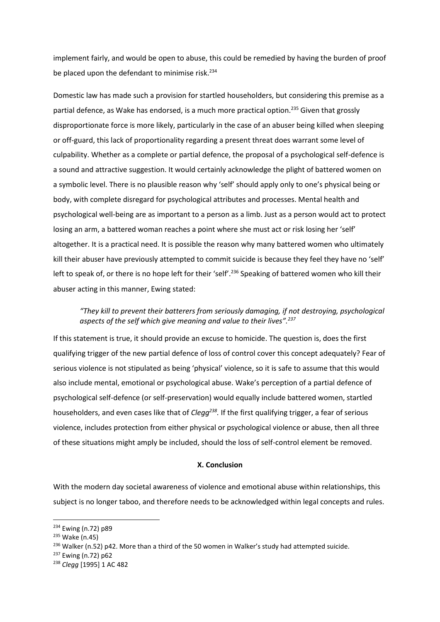implement fairly, and would be open to abuse, this could be remedied by having the burden of proof be placed upon the defendant to minimise risk.<sup>234</sup>

Domestic law has made such a provision for startled householders, but considering this premise as a partial defence, as Wake has endorsed, is a much more practical option.<sup>235</sup> Given that grossly disproportionate force is more likely, particularly in the case of an abuser being killed when sleeping or off-guard, this lack of proportionality regarding a present threat does warrant some level of culpability. Whether as a complete or partial defence, the proposal of a psychological self-defence is a sound and attractive suggestion. It would certainly acknowledge the plight of battered women on a symbolic level. There is no plausible reason why 'self' should apply only to one's physical being or body, with complete disregard for psychological attributes and processes. Mental health and psychological well-being are as important to a person as a limb. Just as a person would act to protect losing an arm, a battered woman reaches a point where she must act or risk losing her 'self' altogether. It is a practical need. It is possible the reason why many battered women who ultimately kill their abuser have previously attempted to commit suicide is because they feel they have no 'self' left to speak of, or there is no hope left for their 'self'.<sup>236</sup> Speaking of battered women who kill their abuser acting in this manner, Ewing stated:

## *"They kill to prevent their batterers from seriously damaging, if not destroying, psychological aspects of the self which give meaning and value to their lives".<sup>237</sup>*

If this statement is true, it should provide an excuse to homicide. The question is, does the first qualifying trigger of the new partial defence of loss of control cover this concept adequately? Fear of serious violence is not stipulated as being 'physical' violence, so it is safe to assume that this would also include mental, emotional or psychological abuse. Wake's perception of a partial defence of psychological self-defence (or self-preservation) would equally include battered women, startled householders, and even cases like that of *Clegg<sup>238</sup> .* If the first qualifying trigger, a fear of serious violence, includes protection from either physical or psychological violence or abuse, then all three of these situations might amply be included, should the loss of self-control element be removed.

### **X. Conclusion**

With the modern day societal awareness of violence and emotional abuse within relationships, this subject is no longer taboo, and therefore needs to be acknowledged within legal concepts and rules.

<sup>234</sup> Ewing (n.72) p89

<sup>235</sup> Wake (n.45)

<sup>&</sup>lt;sup>236</sup> Walker (n.52) p42. More than a third of the 50 women in Walker's study had attempted suicide.

<sup>237</sup> Ewing (n.72) p62

<sup>238</sup> *Clegg* [1995] 1 AC 482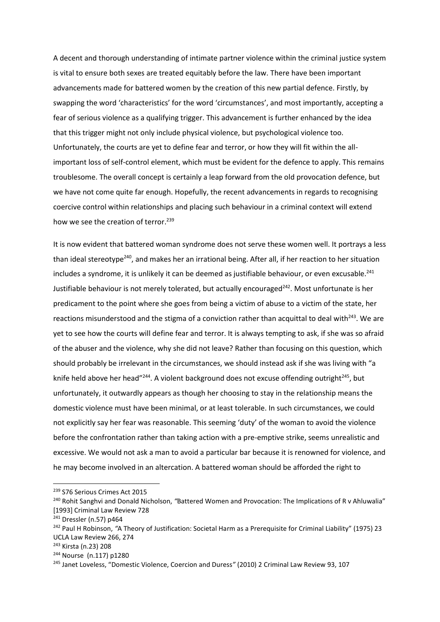A decent and thorough understanding of intimate partner violence within the criminal justice system is vital to ensure both sexes are treated equitably before the law. There have been important advancements made for battered women by the creation of this new partial defence. Firstly, by swapping the word 'characteristics' for the word 'circumstances', and most importantly, accepting a fear of serious violence as a qualifying trigger. This advancement is further enhanced by the idea that this trigger might not only include physical violence, but psychological violence too. Unfortunately, the courts are yet to define fear and terror, or how they will fit within the allimportant loss of self-control element, which must be evident for the defence to apply. This remains troublesome. The overall concept is certainly a leap forward from the old provocation defence, but we have not come quite far enough. Hopefully, the recent advancements in regards to recognising coercive control within relationships and placing such behaviour in a criminal context will extend how we see the creation of terror.<sup>239</sup>

It is now evident that battered woman syndrome does not serve these women well. It portrays a less than ideal stereotype<sup>240</sup>, and makes her an irrational being. After all, if her reaction to her situation includes a syndrome, it is unlikely it can be deemed as justifiable behaviour, or even excusable.<sup>241</sup> Justifiable behaviour is not merely tolerated, but actually encouraged<sup>242</sup>. Most unfortunate is her predicament to the point where she goes from being a victim of abuse to a victim of the state, her reactions misunderstood and the stigma of a conviction rather than acquittal to deal with $243$ . We are yet to see how the courts will define fear and terror. It is always tempting to ask, if she was so afraid of the abuser and the violence, why she did not leave? Rather than focusing on this question, which should probably be irrelevant in the circumstances, we should instead ask if she was living with "a knife held above her head"<sup>244</sup>. A violent background does not excuse offending outright<sup>245</sup>, but unfortunately, it outwardly appears as though her choosing to stay in the relationship means the domestic violence must have been minimal, or at least tolerable. In such circumstances, we could not explicitly say her fear was reasonable. This seeming 'duty' of the woman to avoid the violence before the confrontation rather than taking action with a pre-emptive strike, seems unrealistic and excessive. We would not ask a man to avoid a particular bar because it is renowned for violence, and he may become involved in an altercation. A battered woman should be afforded the right to

<sup>239</sup> S76 Serious Crimes Act 2015

<sup>240</sup> Rohit Sanghvi and Donald Nicholson, *"*Battered Women and Provocation: The Implications of R v Ahluwalia" [1993] Criminal Law Review 728

<sup>241</sup> Dressler (n.57) p464

<sup>242</sup> Paul H Robinson, *"*A Theory of Justification: Societal Harm as a Prerequisite for Criminal Liability" (1975) 23 UCLA Law Review 266, 274

<sup>243</sup> Kirsta (n.23) 208

<sup>244</sup> Nourse (n.117) p1280

<sup>245</sup> Janet Loveless, "Domestic Violence, Coercion and Duress*"* (2010) 2 Criminal Law Review 93, 107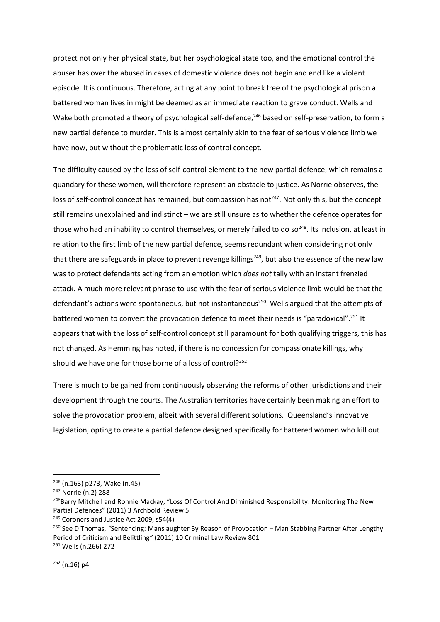protect not only her physical state, but her psychological state too, and the emotional control the abuser has over the abused in cases of domestic violence does not begin and end like a violent episode. It is continuous. Therefore, acting at any point to break free of the psychological prison a battered woman lives in might be deemed as an immediate reaction to grave conduct. Wells and Wake both promoted a theory of psychological self-defence,<sup>246</sup> based on self-preservation, to form a new partial defence to murder. This is almost certainly akin to the fear of serious violence limb we have now, but without the problematic loss of control concept.

The difficulty caused by the loss of self-control element to the new partial defence, which remains a quandary for these women, will therefore represent an obstacle to justice. As Norrie observes, the loss of self-control concept has remained, but compassion has not<sup>247</sup>. Not only this, but the concept still remains unexplained and indistinct – we are still unsure as to whether the defence operates for those who had an inability to control themselves, or merely failed to do so<sup>248</sup>. Its inclusion, at least in relation to the first limb of the new partial defence, seems redundant when considering not only that there are safeguards in place to prevent revenge killings<sup>249</sup>, but also the essence of the new law was to protect defendants acting from an emotion which *does not* tally with an instant frenzied attack. A much more relevant phrase to use with the fear of serious violence limb would be that the defendant's actions were spontaneous, but not instantaneous<sup>250</sup>. Wells argued that the attempts of battered women to convert the provocation defence to meet their needs is "paradoxical".<sup>251</sup> It appears that with the loss of self-control concept still paramount for both qualifying triggers, this has not changed. As Hemming has noted, if there is no concession for compassionate killings, why should we have one for those borne of a loss of control?<sup>252</sup>

There is much to be gained from continuously observing the reforms of other jurisdictions and their development through the courts. The Australian territories have certainly been making an effort to solve the provocation problem, albeit with several different solutions. Queensland's innovative legislation, opting to create a partial defence designed specifically for battered women who kill out

<sup>246</sup> (n.163) p273, Wake (n.45)

<sup>247</sup> Norrie (n.2) 288

<sup>&</sup>lt;sup>248</sup>Barry Mitchell and Ronnie Mackay, "Loss Of Control And Diminished Responsibility: Monitoring The New Partial Defences" (2011) 3 Archbold Review 5

<sup>&</sup>lt;sup>249</sup> Coroners and Justice Act 2009, s54(4)

<sup>250</sup> See D Thomas, *"*Sentencing: Manslaughter By Reason of Provocation – Man Stabbing Partner After Lengthy Period of Criticism and Belittling*"* (2011) 10 Criminal Law Review 801 <sup>251</sup> Wells (n.266) 272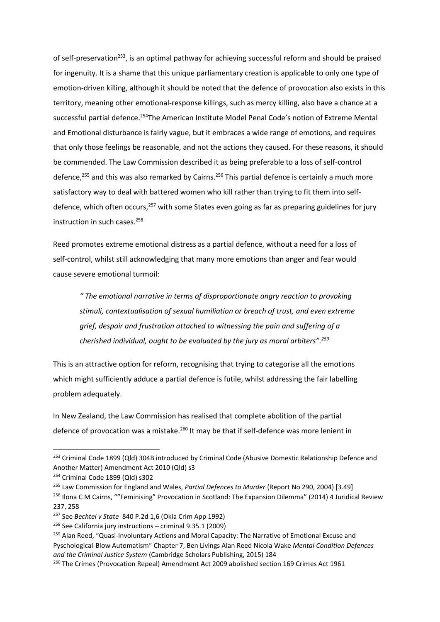of self-preservation<sup>253</sup>, is an optimal pathway for achieving successful reform and should be praised for ingenuity. It is a shame that this unique parliamentary creation is applicable to only one type of emotion-driven killing, although it should be noted that the defence of provocation also exists in this territory, meaning other emotional-response killings, such as mercy killing, also have a chance at a successful partial defence.<sup>254</sup>The American Institute Model Penal Code's notion of Extreme Mental and Emotional disturbance is fairly vague, but it embraces a wide range of emotions, and requires that only those feelings be reasonable, and not the actions they caused. For these reasons, it should be commended. The Law Commission described it as being preferable to a loss of self-control defence,<sup>255</sup> and this was also remarked by Cairns.<sup>256</sup> This partial defence is certainly a much more satisfactory way to deal with battered women who kill rather than trying to fit them into selfdefence, which often occurs,<sup>257</sup> with some States even going as far as preparing guidelines for jury instruction in such cases.<sup>258</sup>

Reed promotes extreme emotional distress as a partial defence, without a need for a loss of self-control, whilst still acknowledging that many more emotions than anger and fear would cause severe emotional turmoil:

*" The emotional narrative in terms of disproportionate angry reaction to provoking stimuli, contextualisation of sexual humiliation or breach of trust, and even extreme grief, despair and frustration attached to witnessing the pain and suffering of a cherished individual, ought to be evaluated by the jury as moral arbiters".<sup>259</sup>*

This is an attractive option for reform, recognising that trying to categorise all the emotions which might sufficiently adduce a partial defence is futile, whilst addressing the fair labelling problem adequately.

In New Zealand, the Law Commission has realised that complete abolition of the partial defence of provocation was a mistake.<sup>260</sup> It may be that if self-defence was more lenient in

<sup>&</sup>lt;sup>253</sup> Criminal Code 1899 (Qld) 304B introduced by Criminal Code (Abusive Domestic Relationship Defence and Another Matter) Amendment Act 2010 (Qld) s3

<sup>254</sup> Criminal Code 1899 (Qld) s302

<sup>255</sup> Law Commission for England and Wales, *Partial Defences to Murder* (Report No 290, 2004) [3.49]

<sup>&</sup>lt;sup>256</sup> Ilona C M Cairns, ""Feminising" Provocation in Scotland: The Expansion Dilemma" (2014) 4 Juridical Review 237, 258

<sup>257</sup> See *Bechtel v State* 840 P.2d 1,6 (Okla Crim App 1992)

<sup>258</sup> See California jury instructions – criminal 9.35.1 (2009)

<sup>&</sup>lt;sup>259</sup> Alan Reed, "Quasi-Involuntary Actions and Moral Capacity: The Narrative of Emotional Excuse and Pyschological-Blow Automatism" Chapter 7, Ben Livings Alan Reed Nicola Wake *Mental Condition Defences and the Criminal Justice System* (Cambridge Scholars Publishing, 2015) 184

<sup>260</sup> The Crimes (Provocation Repeal) Amendment Act 2009 abolished section 169 Crimes Act 1961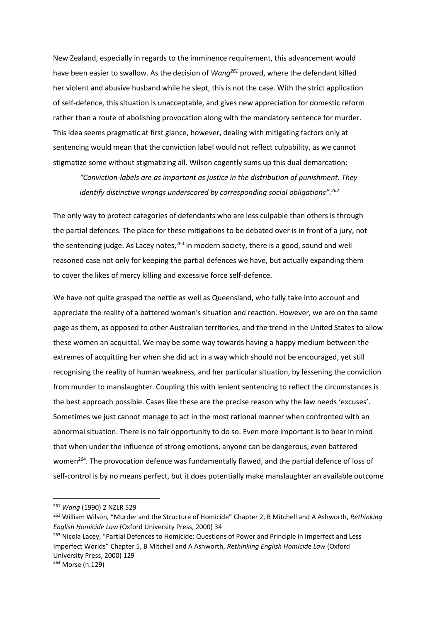New Zealand, especially in regards to the imminence requirement, this advancement would have been easier to swallow. As the decision of *Wang<sup>261</sup>* proved, where the defendant killed her violent and abusive husband while he slept, this is not the case. With the strict application of self-defence, this situation is unacceptable, and gives new appreciation for domestic reform rather than a route of abolishing provocation along with the mandatory sentence for murder. This idea seems pragmatic at first glance, however, dealing with mitigating factors only at sentencing would mean that the conviction label would not reflect culpability, as we cannot stigmatize some without stigmatizing all. Wilson cogently sums up this dual demarcation:

*"Conviction-labels are as important as justice in the distribution of punishment. They identify distinctive wrongs underscored by corresponding social obligations".<sup>262</sup>*

The only way to protect categories of defendants who are less culpable than others is through the partial defences. The place for these mitigations to be debated over is in front of a jury, not the sentencing judge. As Lacey notes, $263$  in modern society, there is a good, sound and well reasoned case not only for keeping the partial defences we have, but actually expanding them to cover the likes of mercy killing and excessive force self-defence.

We have not quite grasped the nettle as well as Queensland, who fully take into account and appreciate the reality of a battered woman's situation and reaction. However, we are on the same page as them, as opposed to other Australian territories, and the trend in the United States to allow these women an acquittal. We may be some way towards having a happy medium between the extremes of acquitting her when she did act in a way which should not be encouraged, yet still recognising the reality of human weakness, and her particular situation, by lessening the conviction from murder to manslaughter. Coupling this with lenient sentencing to reflect the circumstances is the best approach possible. Cases like these are the precise reason why the law needs 'excuses'. Sometimes we just cannot manage to act in the most rational manner when confronted with an abnormal situation. There is no fair opportunity to do so. Even more important is to bear in mind that when under the influence of strong emotions, anyone can be dangerous, even battered women<sup>264</sup>. The provocation defence was fundamentally flawed, and the partial defence of loss of self-control is by no means perfect, but it does potentially make manslaughter an available outcome

<sup>261</sup> *Wang* (1990) 2 NZLR 529

<sup>262</sup> William Wilson, "Murder and the Structure of Homicide" Chapter 2, B Mitchell and A Ashworth, *Rethinking English Homicide Law* (Oxford University Press, 2000) 34

<sup>&</sup>lt;sup>263</sup> Nicola Lacey, "Partial Defences to Homicide: Questions of Power and Principle in Imperfect and Less Imperfect Worlds" Chapter 5, B Mitchell and A Ashworth, *Rethinking English Homicide Law* (Oxford University Press, 2000) 129